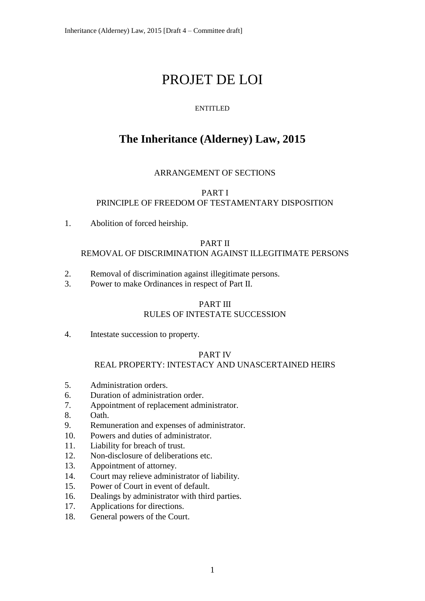# PROJET DE LOI

# ENTITLED

# **The Inheritance (Alderney) Law, 2015**

# ARRANGEMENT OF SECTIONS

#### PART I PRINCIPLE OF FREEDOM OF TESTAMENTARY DISPOSITION

1. Abolition of forced heirship.

## PART II

## REMOVAL OF DISCRIMINATION AGAINST ILLEGITIMATE PERSONS

- 2. Removal of discrimination against illegitimate persons.
- 3. Power to make Ordinances in respect of Part II.

# PART III

# RULES OF INTESTATE SUCCESSION

4. Intestate succession to property.

# PART IV

# REAL PROPERTY: INTESTACY AND UNASCERTAINED HEIRS

- 5. Administration orders.
- 6. Duration of administration order.
- 7. Appointment of replacement administrator.
- 8. Oath.
- 9. Remuneration and expenses of administrator.
- 10. Powers and duties of administrator.
- 11. Liability for breach of trust.
- 12. Non-disclosure of deliberations etc.
- 13. Appointment of attorney.
- 14. Court may relieve administrator of liability.
- 15. Power of Court in event of default.
- 16. Dealings by administrator with third parties.
- 17. Applications for directions.
- 18. General powers of the Court.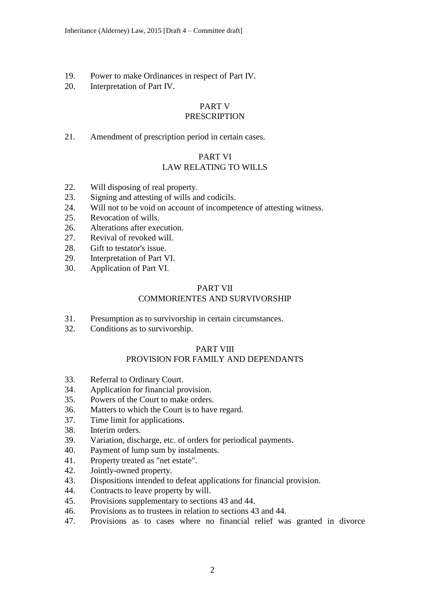- 19. Power to make Ordinances in respect of Part IV.
- 20. Interpretation of Part IV.

# PART V

# PRESCRIPTION

21. Amendment of prescription period in certain cases.

# PART VI

# LAW RELATING TO WILLS

- 22. Will disposing of real property.
- 23. Signing and attesting of wills and codicils.
- 24. Will not to be void on account of incompetence of attesting witness.
- 25. Revocation of wills.
- 26. Alterations after execution.
- 27. Revival of revoked will.
- 28. Gift to testator's issue.
- 29. Interpretation of Part VI.
- 30. Application of Part VI.

# PART VII

# COMMORIENTES AND SURVIVORSHIP

- 31. Presumption as to survivorship in certain circumstances.
- 32. Conditions as to survivorship.

# PART VIII

# PROVISION FOR FAMILY AND DEPENDANTS

- 33. Referral to Ordinary Court.
- 34. Application for financial provision.
- 35. Powers of the Court to make orders.
- 36. Matters to which the Court is to have regard.
- 37. Time limit for applications.
- 38. Interim orders.
- 39. Variation, discharge, etc. of orders for periodical payments.
- 40. Payment of lump sum by instalments.
- 41. Property treated as "net estate".
- 42. Jointly-owned property.
- 43. Dispositions intended to defeat applications for financial provision.
- 44. Contracts to leave property by will.
- 45. Provisions supplementary to sections 43 and 44.
- 46. Provisions as to trustees in relation to sections 43 and 44.
- 47. Provisions as to cases where no financial relief was granted in divorce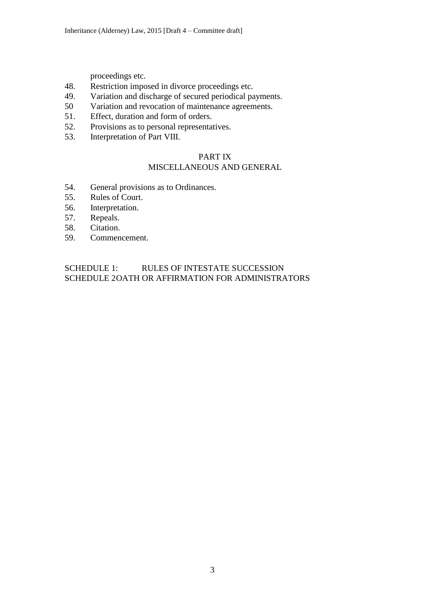proceedings etc.

- 48. Restriction imposed in divorce proceedings etc.
- 49. Variation and discharge of secured periodical payments.
- 50 Variation and revocation of maintenance agreements.
- 51. Effect, duration and form of orders.
- 52. Provisions as to personal representatives.
- 53. Interpretation of Part VIII.

# PART IX

# MISCELLANEOUS AND GENERAL

- 54. General provisions as to Ordinances.
- 55. Rules of Court.
- 56. Interpretation.
- 57. Repeals.
- 58. Citation.
- 59. Commencement.

# SCHEDULE 1: RULES OF INTESTATE SUCCESSION SCHEDULE 2OATH OR AFFIRMATION FOR ADMINISTRATORS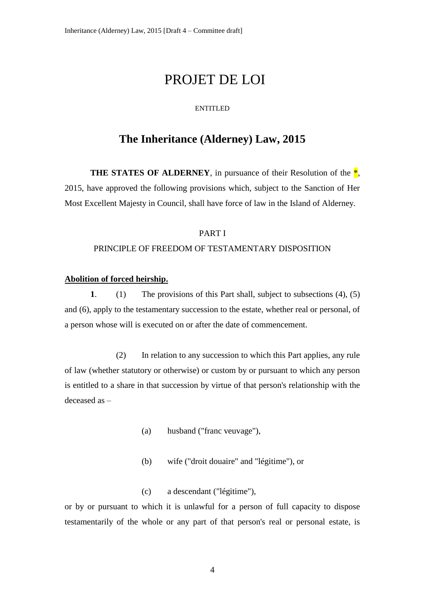# PROJET DE LOI

#### ENTITLED

# **The Inheritance (Alderney) Law, 2015**

**THE STATES OF ALDERNEY**, in pursuance of their Resolution of the  $*$ , 2015, have approved the following provisions which, subject to the Sanction of Her Most Excellent Majesty in Council, shall have force of law in the Island of Alderney.

# PART I PRINCIPLE OF FREEDOM OF TESTAMENTARY DISPOSITION

### **Abolition of forced heirship.**

**1**. (1) The provisions of this Part shall, subject to subsections (4), (5) and (6), apply to the testamentary succession to the estate, whether real or personal, of a person whose will is executed on or after the date of commencement.

(2) In relation to any succession to which this Part applies, any rule of law (whether statutory or otherwise) or custom by or pursuant to which any person is entitled to a share in that succession by virtue of that person's relationship with the deceased as –

- (a) husband ("franc veuvage"),
- (b) wife ("droit douaire" and "légitime"), or
- (c) a descendant ("légitime"),

or by or pursuant to which it is unlawful for a person of full capacity to dispose testamentarily of the whole or any part of that person's real or personal estate, is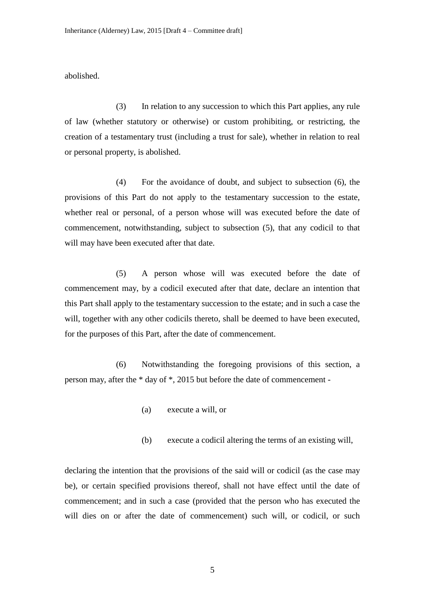abolished.

(3) In relation to any succession to which this Part applies, any rule of law (whether statutory or otherwise) or custom prohibiting, or restricting, the creation of a testamentary trust (including a trust for sale), whether in relation to real or personal property, is abolished.

(4) For the avoidance of doubt, and subject to subsection (6), the provisions of this Part do not apply to the testamentary succession to the estate, whether real or personal, of a person whose will was executed before the date of commencement, notwithstanding, subject to subsection (5), that any codicil to that will may have been executed after that date.

(5) A person whose will was executed before the date of commencement may, by a codicil executed after that date, declare an intention that this Part shall apply to the testamentary succession to the estate; and in such a case the will, together with any other codicils thereto, shall be deemed to have been executed, for the purposes of this Part, after the date of commencement.

(6) Notwithstanding the foregoing provisions of this section, a person may, after the \* day of \*, 2015 but before the date of commencement -

- (a) execute a will, or
- (b) execute a codicil altering the terms of an existing will,

declaring the intention that the provisions of the said will or codicil (as the case may be), or certain specified provisions thereof, shall not have effect until the date of commencement; and in such a case (provided that the person who has executed the will dies on or after the date of commencement) such will, or codicil, or such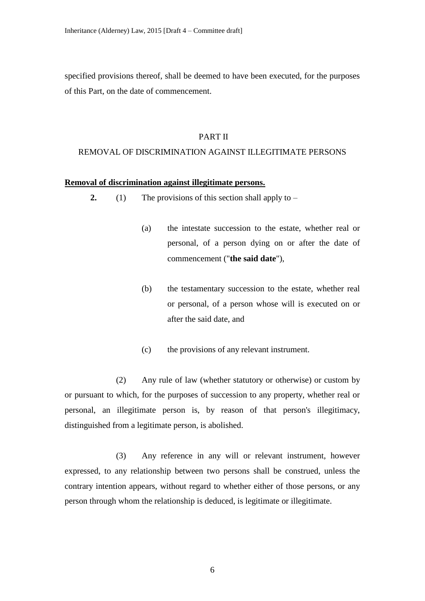specified provisions thereof, shall be deemed to have been executed, for the purposes of this Part, on the date of commencement.

#### PART II

## REMOVAL OF DISCRIMINATION AGAINST ILLEGITIMATE PERSONS

#### **Removal of discrimination against illegitimate persons.**

- **2.** (1) The provisions of this section shall apply to
	- (a) the intestate succession to the estate, whether real or personal, of a person dying on or after the date of commencement ("**the said date**"),
	- (b) the testamentary succession to the estate, whether real or personal, of a person whose will is executed on or after the said date, and
	- (c) the provisions of any relevant instrument.

(2) Any rule of law (whether statutory or otherwise) or custom by or pursuant to which, for the purposes of succession to any property, whether real or personal, an illegitimate person is, by reason of that person's illegitimacy, distinguished from a legitimate person, is abolished.

(3) Any reference in any will or relevant instrument, however expressed, to any relationship between two persons shall be construed, unless the contrary intention appears, without regard to whether either of those persons, or any person through whom the relationship is deduced, is legitimate or illegitimate.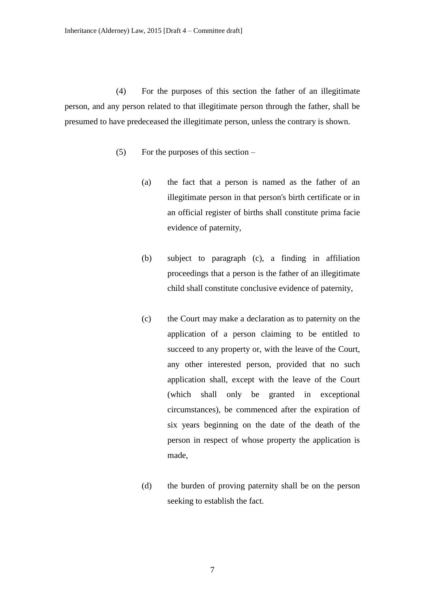(4) For the purposes of this section the father of an illegitimate person, and any person related to that illegitimate person through the father, shall be presumed to have predeceased the illegitimate person, unless the contrary is shown.

- (5) For the purposes of this section
	- (a) the fact that a person is named as the father of an illegitimate person in that person's birth certificate or in an official register of births shall constitute prima facie evidence of paternity,
	- (b) subject to paragraph (c), a finding in affiliation proceedings that a person is the father of an illegitimate child shall constitute conclusive evidence of paternity,
	- (c) the Court may make a declaration as to paternity on the application of a person claiming to be entitled to succeed to any property or, with the leave of the Court, any other interested person, provided that no such application shall, except with the leave of the Court (which shall only be granted in exceptional circumstances), be commenced after the expiration of six years beginning on the date of the death of the person in respect of whose property the application is made,
	- (d) the burden of proving paternity shall be on the person seeking to establish the fact.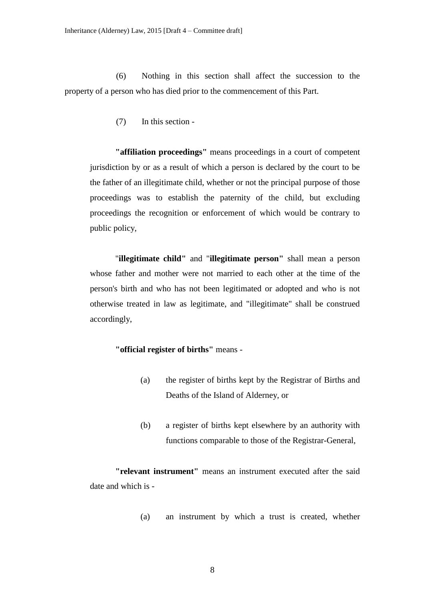(6) Nothing in this section shall affect the succession to the property of a person who has died prior to the commencement of this Part.

(7) In this section -

**"affiliation proceedings"** means proceedings in a court of competent jurisdiction by or as a result of which a person is declared by the court to be the father of an illegitimate child, whether or not the principal purpose of those proceedings was to establish the paternity of the child, but excluding proceedings the recognition or enforcement of which would be contrary to public policy,

"**illegitimate child"** and "**illegitimate person"** shall mean a person whose father and mother were not married to each other at the time of the person's birth and who has not been legitimated or adopted and who is not otherwise treated in law as legitimate, and "illegitimate" shall be construed accordingly,

# **"official register of births"** means -

- (a) the register of births kept by the Registrar of Births and Deaths of the Island of Alderney, or
- (b) a register of births kept elsewhere by an authority with functions comparable to those of the Registrar-General,

**"relevant instrument"** means an instrument executed after the said date and which is -

(a) an instrument by which a trust is created, whether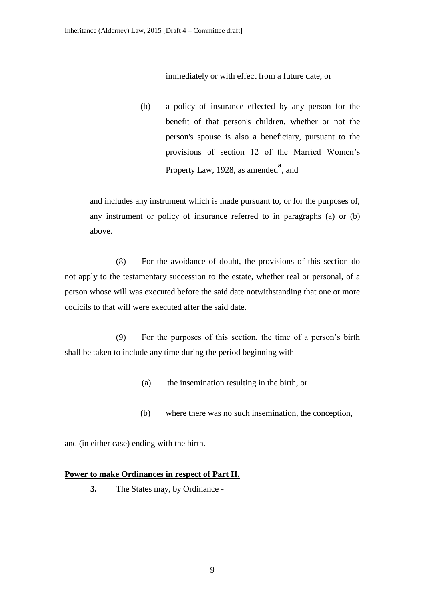immediately or with effect from a future date, or

(b) a policy of insurance effected by any person for the benefit of that person's children, whether or not the person's spouse is also a beneficiary, pursuant to the provisions of section 12 of the Married Women's Property Law, 1928, as amended<sup>a</sup>, and

and includes any instrument which is made pursuant to, or for the purposes of, any instrument or policy of insurance referred to in paragraphs (a) or (b) above.

(8) For the avoidance of doubt, the provisions of this section do not apply to the testamentary succession to the estate, whether real or personal, of a person whose will was executed before the said date notwithstanding that one or more codicils to that will were executed after the said date.

(9) For the purposes of this section, the time of a person's birth shall be taken to include any time during the period beginning with -

- (a) the insemination resulting in the birth, or
- (b) where there was no such insemination, the conception,

and (in either case) ending with the birth.

#### **Power to make Ordinances in respect of Part II.**

**3.** The States may, by Ordinance -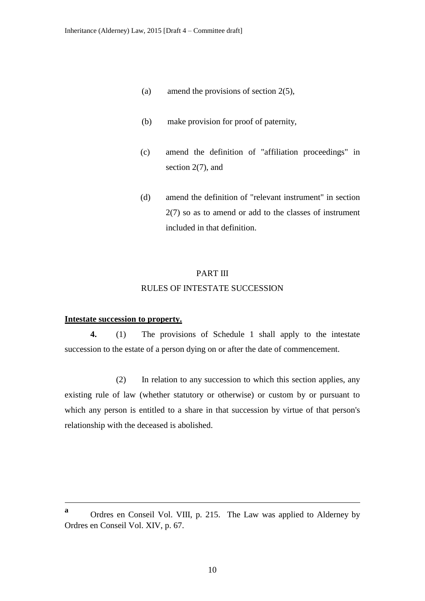- (a) amend the provisions of section 2(5),
- (b) make provision for proof of paternity,
- (c) amend the definition of "affiliation proceedings" in section 2(7), and
- (d) amend the definition of "relevant instrument" in section 2(7) so as to amend or add to the classes of instrument included in that definition.

#### PART III

#### RULES OF INTESTATE SUCCESSION

#### **Intestate succession to property.**

<u>.</u>

**4.** (1) The provisions of Schedule 1 shall apply to the intestate succession to the estate of a person dying on or after the date of commencement.

(2) In relation to any succession to which this section applies, any existing rule of law (whether statutory or otherwise) or custom by or pursuant to which any person is entitled to a share in that succession by virtue of that person's relationship with the deceased is abolished.

**a** Ordres en Conseil Vol. VIII, p. 215. The Law was applied to Alderney by Ordres en Conseil Vol. XIV, p. 67.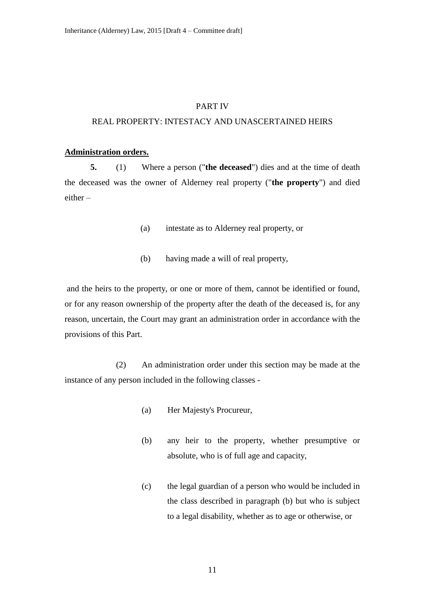#### PART IV

# REAL PROPERTY: INTESTACY AND UNASCERTAINED HEIRS

#### **Administration orders.**

**5.** (1) Where a person ("**the deceased**") dies and at the time of death the deceased was the owner of Alderney real property ("**the property**") and died either –

- (a) intestate as to Alderney real property, or
- (b) having made a will of real property,

and the heirs to the property, or one or more of them, cannot be identified or found, or for any reason ownership of the property after the death of the deceased is, for any reason, uncertain, the Court may grant an administration order in accordance with the provisions of this Part.

(2) An administration order under this section may be made at the instance of any person included in the following classes -

- (a) Her Majesty's Procureur,
- (b) any heir to the property, whether presumptive or absolute, who is of full age and capacity,
- (c) the legal guardian of a person who would be included in the class described in paragraph (b) but who is subject to a legal disability, whether as to age or otherwise, or

11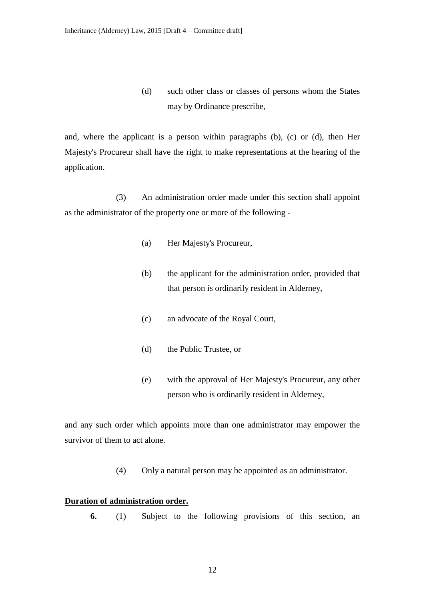(d) such other class or classes of persons whom the States may by Ordinance prescribe,

and, where the applicant is a person within paragraphs (b), (c) or (d), then Her Majesty's Procureur shall have the right to make representations at the hearing of the application.

(3) An administration order made under this section shall appoint as the administrator of the property one or more of the following -

- (a) Her Majesty's Procureur,
- (b) the applicant for the administration order, provided that that person is ordinarily resident in Alderney,
- (c) an advocate of the Royal Court,
- (d) the Public Trustee, or
- (e) with the approval of Her Majesty's Procureur, any other person who is ordinarily resident in Alderney,

and any such order which appoints more than one administrator may empower the survivor of them to act alone.

(4) Only a natural person may be appointed as an administrator.

#### **Duration of administration order.**

**6.** (1) Subject to the following provisions of this section, an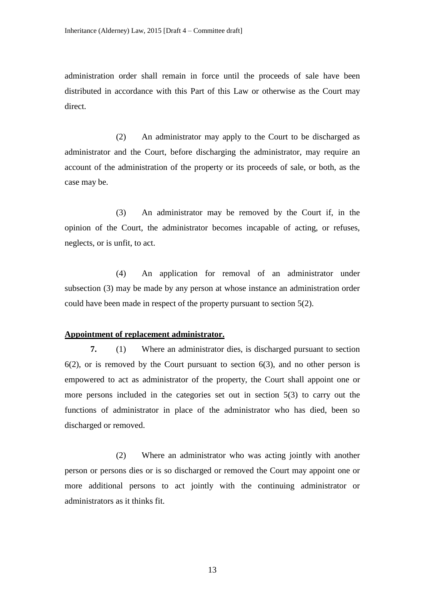administration order shall remain in force until the proceeds of sale have been distributed in accordance with this Part of this Law or otherwise as the Court may direct.

(2) An administrator may apply to the Court to be discharged as administrator and the Court, before discharging the administrator, may require an account of the administration of the property or its proceeds of sale, or both, as the case may be.

(3) An administrator may be removed by the Court if, in the opinion of the Court, the administrator becomes incapable of acting, or refuses, neglects, or is unfit, to act.

(4) An application for removal of an administrator under subsection (3) may be made by any person at whose instance an administration order could have been made in respect of the property pursuant to section 5(2).

#### **Appointment of replacement administrator.**

**7.** (1) Where an administrator dies, is discharged pursuant to section  $6(2)$ , or is removed by the Court pursuant to section  $6(3)$ , and no other person is empowered to act as administrator of the property, the Court shall appoint one or more persons included in the categories set out in section 5(3) to carry out the functions of administrator in place of the administrator who has died, been so discharged or removed.

(2) Where an administrator who was acting jointly with another person or persons dies or is so discharged or removed the Court may appoint one or more additional persons to act jointly with the continuing administrator or administrators as it thinks fit.

13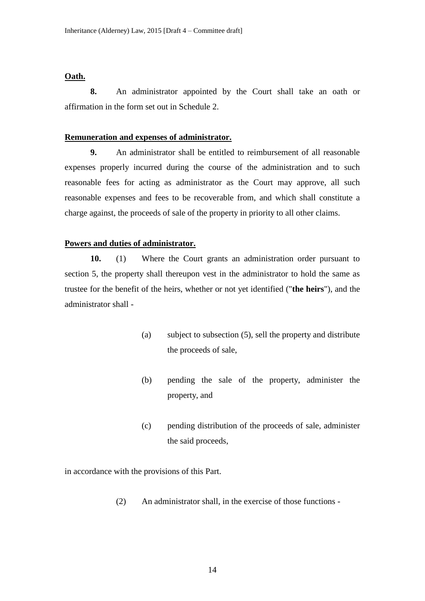#### **Oath.**

**8.** An administrator appointed by the Court shall take an oath or affirmation in the form set out in Schedule 2.

#### **Remuneration and expenses of administrator.**

**9.** An administrator shall be entitled to reimbursement of all reasonable expenses properly incurred during the course of the administration and to such reasonable fees for acting as administrator as the Court may approve, all such reasonable expenses and fees to be recoverable from, and which shall constitute a charge against, the proceeds of sale of the property in priority to all other claims.

#### **Powers and duties of administrator.**

**10.** (1) Where the Court grants an administration order pursuant to section 5, the property shall thereupon vest in the administrator to hold the same as trustee for the benefit of the heirs, whether or not yet identified ("**the heirs**"), and the administrator shall -

- (a) subject to subsection (5), sell the property and distribute the proceeds of sale,
- (b) pending the sale of the property, administer the property, and
- (c) pending distribution of the proceeds of sale, administer the said proceeds,

in accordance with the provisions of this Part.

(2) An administrator shall, in the exercise of those functions -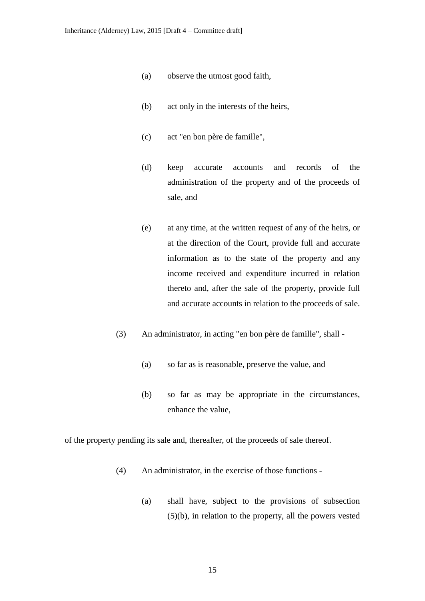- (a) observe the utmost good faith,
- (b) act only in the interests of the heirs,
- (c) act "en bon père de famille",
- (d) keep accurate accounts and records of the administration of the property and of the proceeds of sale, and
- (e) at any time, at the written request of any of the heirs, or at the direction of the Court, provide full and accurate information as to the state of the property and any income received and expenditure incurred in relation thereto and, after the sale of the property, provide full and accurate accounts in relation to the proceeds of sale.
- (3) An administrator, in acting "en bon père de famille", shall
	- (a) so far as is reasonable, preserve the value, and
	- (b) so far as may be appropriate in the circumstances, enhance the value,

of the property pending its sale and, thereafter, of the proceeds of sale thereof.

- (4) An administrator, in the exercise of those functions
	- (a) shall have, subject to the provisions of subsection (5)(b), in relation to the property, all the powers vested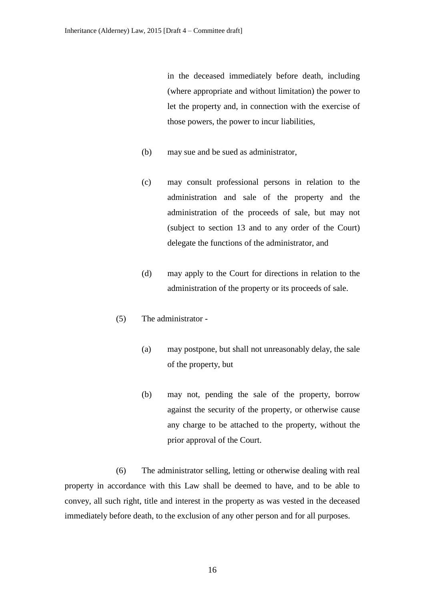in the deceased immediately before death, including (where appropriate and without limitation) the power to let the property and, in connection with the exercise of those powers, the power to incur liabilities,

- (b) may sue and be sued as administrator,
- (c) may consult professional persons in relation to the administration and sale of the property and the administration of the proceeds of sale, but may not (subject to section 13 and to any order of the Court) delegate the functions of the administrator, and
- (d) may apply to the Court for directions in relation to the administration of the property or its proceeds of sale.
- (5) The administrator
	- (a) may postpone, but shall not unreasonably delay, the sale of the property, but
	- (b) may not, pending the sale of the property, borrow against the security of the property, or otherwise cause any charge to be attached to the property, without the prior approval of the Court.

(6) The administrator selling, letting or otherwise dealing with real property in accordance with this Law shall be deemed to have, and to be able to convey, all such right, title and interest in the property as was vested in the deceased immediately before death, to the exclusion of any other person and for all purposes.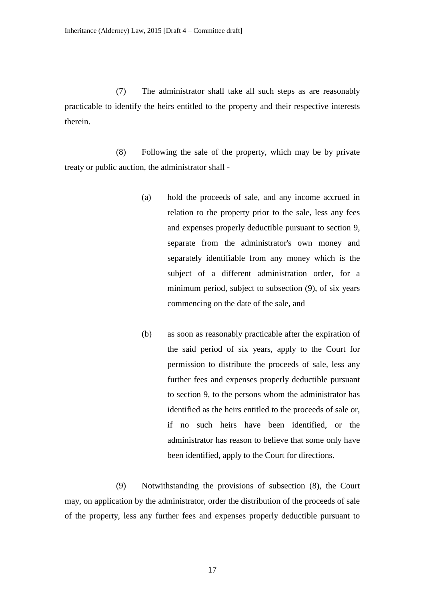(7) The administrator shall take all such steps as are reasonably practicable to identify the heirs entitled to the property and their respective interests therein.

(8) Following the sale of the property, which may be by private treaty or public auction, the administrator shall -

- (a) hold the proceeds of sale, and any income accrued in relation to the property prior to the sale, less any fees and expenses properly deductible pursuant to section 9, separate from the administrator's own money and separately identifiable from any money which is the subject of a different administration order, for a minimum period, subject to subsection (9), of six years commencing on the date of the sale, and
- (b) as soon as reasonably practicable after the expiration of the said period of six years, apply to the Court for permission to distribute the proceeds of sale, less any further fees and expenses properly deductible pursuant to section 9, to the persons whom the administrator has identified as the heirs entitled to the proceeds of sale or, if no such heirs have been identified, or the administrator has reason to believe that some only have been identified, apply to the Court for directions.

(9) Notwithstanding the provisions of subsection (8), the Court may, on application by the administrator, order the distribution of the proceeds of sale of the property, less any further fees and expenses properly deductible pursuant to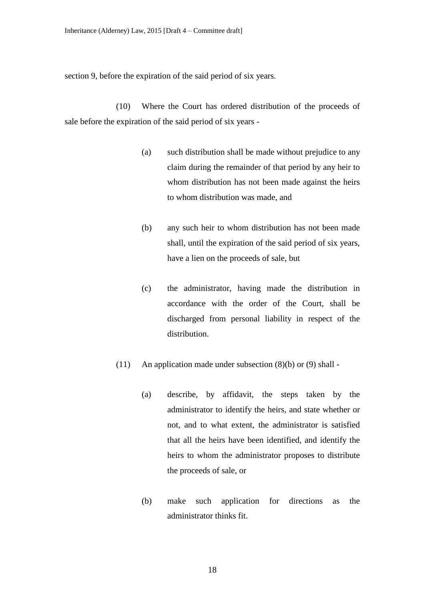section 9, before the expiration of the said period of six years.

(10) Where the Court has ordered distribution of the proceeds of sale before the expiration of the said period of six years -

- (a) such distribution shall be made without prejudice to any claim during the remainder of that period by any heir to whom distribution has not been made against the heirs to whom distribution was made, and
- (b) any such heir to whom distribution has not been made shall, until the expiration of the said period of six years, have a lien on the proceeds of sale, but
- (c) the administrator, having made the distribution in accordance with the order of the Court, shall be discharged from personal liability in respect of the distribution.
- (11) An application made under subsection (8)(b) or (9) shall
	- (a) describe, by affidavit, the steps taken by the administrator to identify the heirs, and state whether or not, and to what extent, the administrator is satisfied that all the heirs have been identified, and identify the heirs to whom the administrator proposes to distribute the proceeds of sale, or
	- (b) make such application for directions as the administrator thinks fit.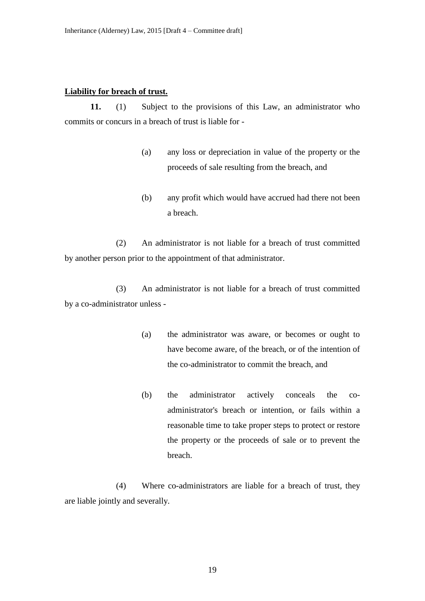#### **Liability for breach of trust.**

**11.** (1) Subject to the provisions of this Law, an administrator who commits or concurs in a breach of trust is liable for -

- (a) any loss or depreciation in value of the property or the proceeds of sale resulting from the breach, and
- (b) any profit which would have accrued had there not been a breach.

(2) An administrator is not liable for a breach of trust committed by another person prior to the appointment of that administrator.

(3) An administrator is not liable for a breach of trust committed by a co-administrator unless -

- (a) the administrator was aware, or becomes or ought to have become aware, of the breach, or of the intention of the co-administrator to commit the breach, and
- (b) the administrator actively conceals the coadministrator's breach or intention, or fails within a reasonable time to take proper steps to protect or restore the property or the proceeds of sale or to prevent the breach.

(4) Where co-administrators are liable for a breach of trust, they are liable jointly and severally.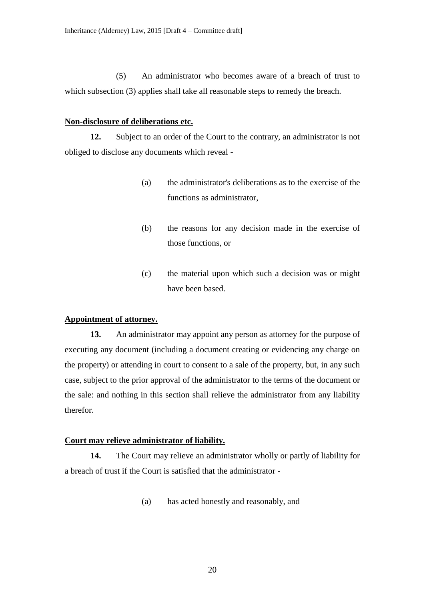(5) An administrator who becomes aware of a breach of trust to which subsection (3) applies shall take all reasonable steps to remedy the breach.

#### **Non-disclosure of deliberations etc.**

**12.** Subject to an order of the Court to the contrary, an administrator is not obliged to disclose any documents which reveal -

- (a) the administrator's deliberations as to the exercise of the functions as administrator,
- (b) the reasons for any decision made in the exercise of those functions, or
- (c) the material upon which such a decision was or might have been based.

#### **Appointment of attorney.**

**13.** An administrator may appoint any person as attorney for the purpose of executing any document (including a document creating or evidencing any charge on the property) or attending in court to consent to a sale of the property, but, in any such case, subject to the prior approval of the administrator to the terms of the document or the sale: and nothing in this section shall relieve the administrator from any liability therefor.

#### **Court may relieve administrator of liability.**

**14.** The Court may relieve an administrator wholly or partly of liability for a breach of trust if the Court is satisfied that the administrator -

(a) has acted honestly and reasonably, and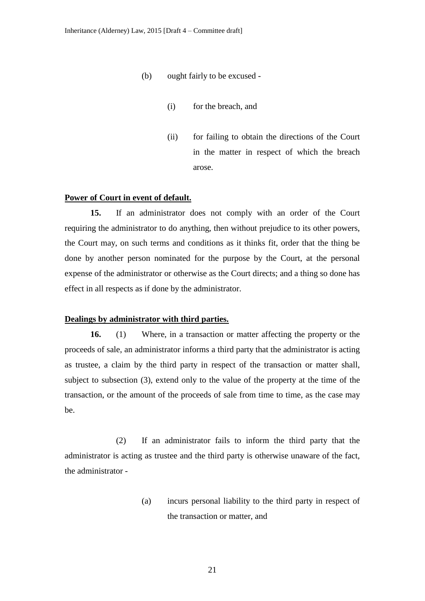- (b) ought fairly to be excused
	- (i) for the breach, and
	- (ii) for failing to obtain the directions of the Court in the matter in respect of which the breach arose.

#### **Power of Court in event of default.**

**15.** If an administrator does not comply with an order of the Court requiring the administrator to do anything, then without prejudice to its other powers, the Court may, on such terms and conditions as it thinks fit, order that the thing be done by another person nominated for the purpose by the Court, at the personal expense of the administrator or otherwise as the Court directs; and a thing so done has effect in all respects as if done by the administrator.

#### **Dealings by administrator with third parties.**

**16.** (1) Where, in a transaction or matter affecting the property or the proceeds of sale, an administrator informs a third party that the administrator is acting as trustee, a claim by the third party in respect of the transaction or matter shall, subject to subsection (3), extend only to the value of the property at the time of the transaction, or the amount of the proceeds of sale from time to time, as the case may be.

(2) If an administrator fails to inform the third party that the administrator is acting as trustee and the third party is otherwise unaware of the fact, the administrator -

> (a) incurs personal liability to the third party in respect of the transaction or matter, and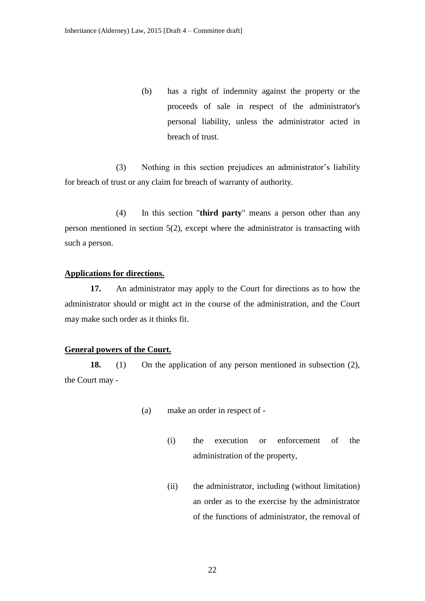(b) has a right of indemnity against the property or the proceeds of sale in respect of the administrator's personal liability, unless the administrator acted in breach of trust.

(3) Nothing in this section prejudices an administrator's liability for breach of trust or any claim for breach of warranty of authority*.*

(4) In this section "**third party**" means a person other than any person mentioned in section 5(2), except where the administrator is transacting with such a person.

#### **Applications for directions.**

**17.** An administrator may apply to the Court for directions as to how the administrator should or might act in the course of the administration, and the Court may make such order as it thinks fit.

# **General powers of the Court.**

**18.** (1) On the application of any person mentioned in subsection (2), the Court may -

- (a) make an order in respect of
	- (i) the execution or enforcement of the administration of the property,
	- (ii) the administrator, including (without limitation) an order as to the exercise by the administrator of the functions of administrator, the removal of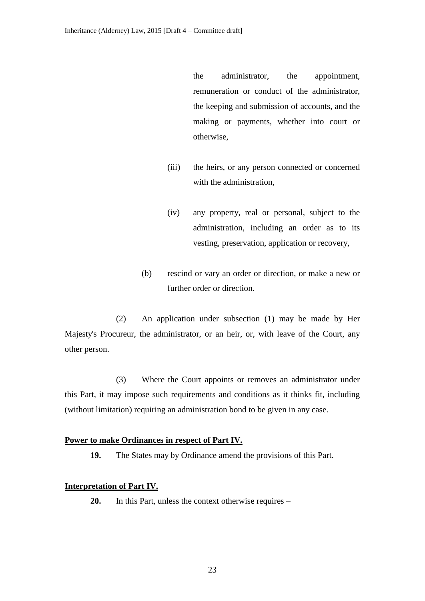the administrator, the appointment, remuneration or conduct of the administrator, the keeping and submission of accounts, and the making or payments, whether into court or otherwise,

- (iii) the heirs, or any person connected or concerned with the administration,
- (iv) any property, real or personal, subject to the administration, including an order as to its vesting, preservation, application or recovery,
- (b) rescind or vary an order or direction, or make a new or further order or direction.

(2) An application under subsection (1) may be made by Her Majesty's Procureur, the administrator, or an heir, or, with leave of the Court, any other person.

(3) Where the Court appoints or removes an administrator under this Part, it may impose such requirements and conditions as it thinks fit, including (without limitation) requiring an administration bond to be given in any case.

#### **Power to make Ordinances in respect of Part IV.**

**19.** The States may by Ordinance amend the provisions of this Part.

# **Interpretation of Part IV.**

**20.** In this Part, unless the context otherwise requires –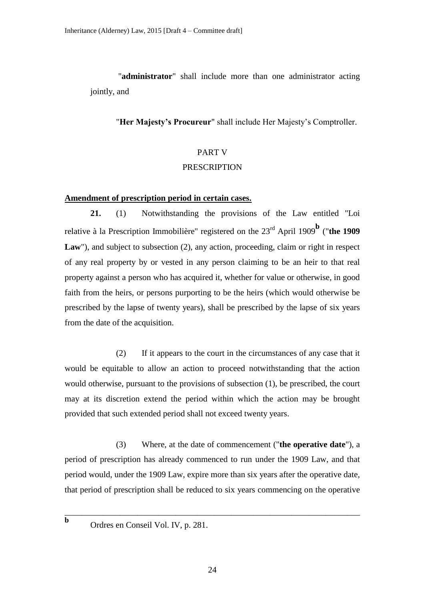"**administrator**" shall include more than one administrator acting jointly, and

"**Her Majesty's Procureur**" shall include Her Majesty's Comptroller.

# PART V PRESCRIPTION

## **Amendment of prescription period in certain cases.**

**21.** (1) Notwithstanding the provisions of the Law entitled "Loi relative à la Prescription Immobilière" registered on the 23rd April 1909**<sup>b</sup>** ("**the 1909**  Law"), and subject to subsection (2), any action, proceeding, claim or right in respect of any real property by or vested in any person claiming to be an heir to that real property against a person who has acquired it, whether for value or otherwise, in good faith from the heirs, or persons purporting to be the heirs (which would otherwise be prescribed by the lapse of twenty years), shall be prescribed by the lapse of six years from the date of the acquisition.

(2) If it appears to the court in the circumstances of any case that it would be equitable to allow an action to proceed notwithstanding that the action would otherwise, pursuant to the provisions of subsection (1), be prescribed, the court may at its discretion extend the period within which the action may be brought provided that such extended period shall not exceed twenty years.

(3) Where, at the date of commencement ("**the operative date**"), a period of prescription has already commenced to run under the 1909 Law, and that period would, under the 1909 Law, expire more than six years after the operative date, that period of prescription shall be reduced to six years commencing on the operative

\_\_\_\_\_\_\_\_\_\_\_\_\_\_\_\_\_\_\_\_\_\_\_\_\_\_\_\_\_\_\_\_\_\_\_\_\_\_\_\_\_\_\_\_\_\_\_\_\_\_\_\_\_\_\_\_\_\_\_\_\_\_\_\_\_\_\_\_\_

**b**

Ordres en Conseil Vol. IV, p. 281.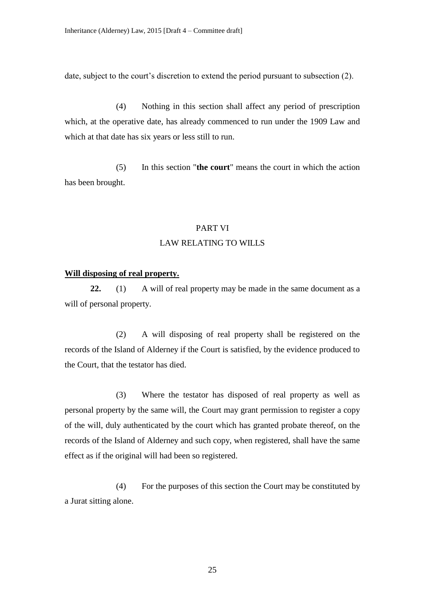date, subject to the court's discretion to extend the period pursuant to subsection (2).

(4) Nothing in this section shall affect any period of prescription which, at the operative date, has already commenced to run under the 1909 Law and which at that date has six years or less still to run.

(5) In this section "**the court**" means the court in which the action has been brought.

#### PART VI

#### LAW RELATING TO WILLS

#### **Will disposing of real property.**

**22.** (1) A will of real property may be made in the same document as a will of personal property.

(2) A will disposing of real property shall be registered on the records of the Island of Alderney if the Court is satisfied, by the evidence produced to the Court, that the testator has died.

(3) Where the testator has disposed of real property as well as personal property by the same will, the Court may grant permission to register a copy of the will, duly authenticated by the court which has granted probate thereof, on the records of the Island of Alderney and such copy, when registered, shall have the same effect as if the original will had been so registered.

(4) For the purposes of this section the Court may be constituted by a Jurat sitting alone.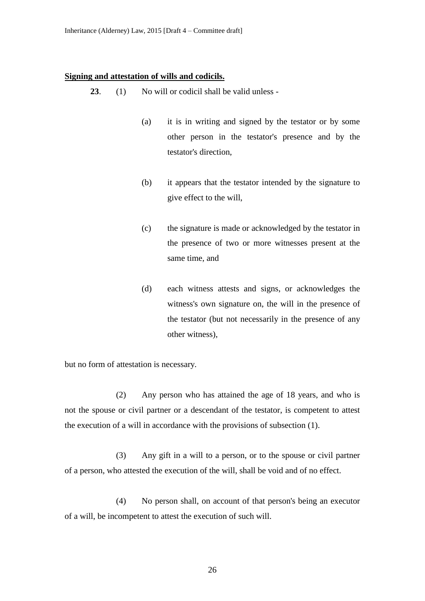#### **Signing and attestation of wills and codicils.**

- **23**. (1) No will or codicil shall be valid unless
	- (a) it is in writing and signed by the testator or by some other person in the testator's presence and by the testator's direction,
	- (b) it appears that the testator intended by the signature to give effect to the will,
	- (c) the signature is made or acknowledged by the testator in the presence of two or more witnesses present at the same time, and
	- (d) each witness attests and signs, or acknowledges the witness's own signature on, the will in the presence of the testator (but not necessarily in the presence of any other witness),

but no form of attestation is necessary.

(2) Any person who has attained the age of 18 years, and who is not the spouse or civil partner or a descendant of the testator, is competent to attest the execution of a will in accordance with the provisions of subsection (1).

(3) Any gift in a will to a person, or to the spouse or civil partner of a person, who attested the execution of the will, shall be void and of no effect.

(4) No person shall, on account of that person's being an executor of a will, be incompetent to attest the execution of such will.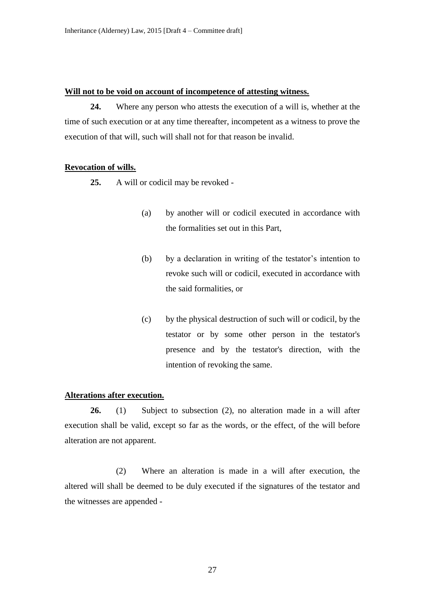#### **Will not to be void on account of incompetence of attesting witness.**

**24.** Where any person who attests the execution of a will is, whether at the time of such execution or at any time thereafter, incompetent as a witness to prove the execution of that will, such will shall not for that reason be invalid.

#### **Revocation of wills.**

- **25.** A will or codicil may be revoked
	- (a) by another will or codicil executed in accordance with the formalities set out in this Part,
	- (b) by a declaration in writing of the testator's intention to revoke such will or codicil, executed in accordance with the said formalities, or
	- (c) by the physical destruction of such will or codicil, by the testator or by some other person in the testator's presence and by the testator's direction, with the intention of revoking the same.

## **Alterations after execution.**

**26.** (1) Subject to subsection (2), no alteration made in a will after execution shall be valid, except so far as the words, or the effect, of the will before alteration are not apparent.

(2) Where an alteration is made in a will after execution, the altered will shall be deemed to be duly executed if the signatures of the testator and the witnesses are appended -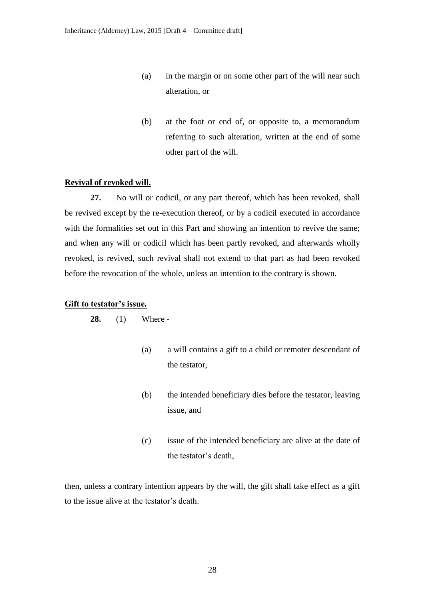- (a) in the margin or on some other part of the will near such alteration, or
- (b) at the foot or end of, or opposite to, a memorandum referring to such alteration, written at the end of some other part of the will.

#### **Revival of revoked will.**

**27.** No will or codicil, or any part thereof, which has been revoked, shall be revived except by the re-execution thereof, or by a codicil executed in accordance with the formalities set out in this Part and showing an intention to revive the same; and when any will or codicil which has been partly revoked, and afterwards wholly revoked, is revived, such revival shall not extend to that part as had been revoked before the revocation of the whole, unless an intention to the contrary is shown.

#### **Gift to testator's issue.**

**28.** (1) Where -

- (a) a will contains a gift to a child or remoter descendant of the testator,
- (b) the intended beneficiary dies before the testator, leaving issue, and
- (c) issue of the intended beneficiary are alive at the date of the testator's death,

then, unless a contrary intention appears by the will, the gift shall take effect as a gift to the issue alive at the testator's death.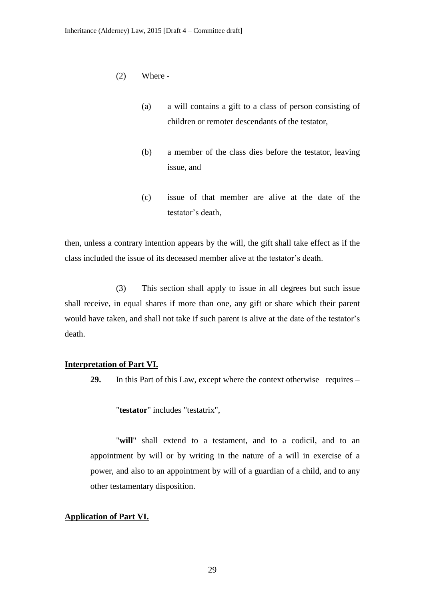- (2) Where
	- (a) a will contains a gift to a class of person consisting of children or remoter descendants of the testator,
	- (b) a member of the class dies before the testator, leaving issue, and
	- (c) issue of that member are alive at the date of the testator's death,

then, unless a contrary intention appears by the will, the gift shall take effect as if the class included the issue of its deceased member alive at the testator's death.

(3) This section shall apply to issue in all degrees but such issue shall receive, in equal shares if more than one, any gift or share which their parent would have taken, and shall not take if such parent is alive at the date of the testator's death.

#### **Interpretation of Part VI.**

**29.** In this Part of this Law, except where the context otherwise requires –

"**testator**" includes "testatrix",

"**will**" shall extend to a testament, and to a codicil, and to an appointment by will or by writing in the nature of a will in exercise of a power, and also to an appointment by will of a guardian of a child, and to any other testamentary disposition.

# **Application of Part VI.**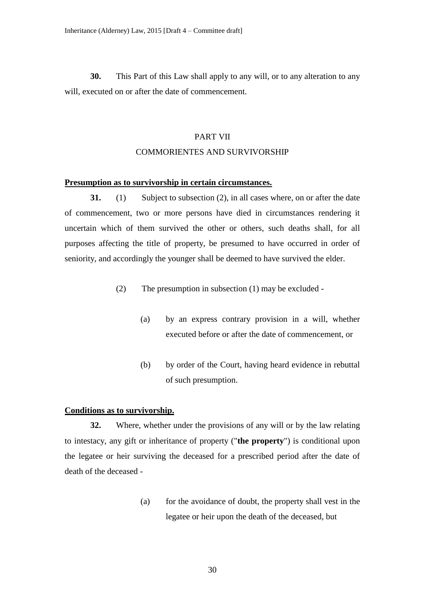**30.** This Part of this Law shall apply to any will, or to any alteration to any will, executed on or after the date of commencement.

#### PART VII

## COMMORIENTES AND SURVIVORSHIP

#### **Presumption as to survivorship in certain circumstances.**

**31.** (1) Subject to subsection (2), in all cases where, on or after the date of commencement, two or more persons have died in circumstances rendering it uncertain which of them survived the other or others, such deaths shall, for all purposes affecting the title of property, be presumed to have occurred in order of seniority, and accordingly the younger shall be deemed to have survived the elder.

- (2) The presumption in subsection (1) may be excluded
	- (a) by an express contrary provision in a will, whether executed before or after the date of commencement, or
	- (b) by order of the Court, having heard evidence in rebuttal of such presumption.

#### **Conditions as to survivorship.**

**32.** Where, whether under the provisions of any will or by the law relating to intestacy, any gift or inheritance of property ("**the property**") is conditional upon the legatee or heir surviving the deceased for a prescribed period after the date of death of the deceased -

> (a) for the avoidance of doubt, the property shall vest in the legatee or heir upon the death of the deceased, but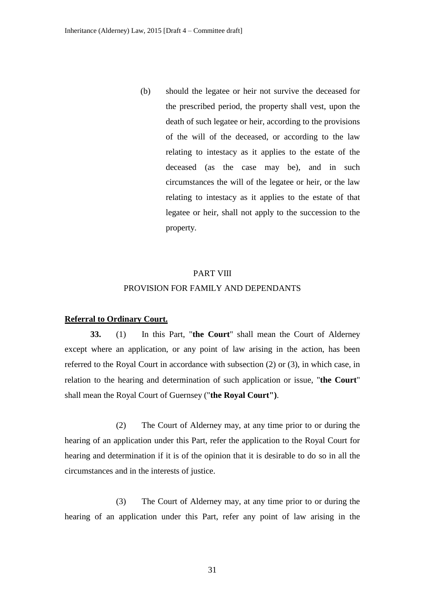(b) should the legatee or heir not survive the deceased for the prescribed period, the property shall vest, upon the death of such legatee or heir, according to the provisions of the will of the deceased, or according to the law relating to intestacy as it applies to the estate of the deceased (as the case may be), and in such circumstances the will of the legatee or heir, or the law relating to intestacy as it applies to the estate of that legatee or heir, shall not apply to the succession to the property.

## PART VIII

#### PROVISION FOR FAMILY AND DEPENDANTS

#### **Referral to Ordinary Court.**

**33.** (1) In this Part, "**the Court**" shall mean the Court of Alderney except where an application, or any point of law arising in the action, has been referred to the Royal Court in accordance with subsection (2) or (3), in which case, in relation to the hearing and determination of such application or issue, "**the Court**" shall mean the Royal Court of Guernsey ("**the Royal Court")**.

(2) The Court of Alderney may, at any time prior to or during the hearing of an application under this Part, refer the application to the Royal Court for hearing and determination if it is of the opinion that it is desirable to do so in all the circumstances and in the interests of justice.

(3) The Court of Alderney may, at any time prior to or during the hearing of an application under this Part, refer any point of law arising in the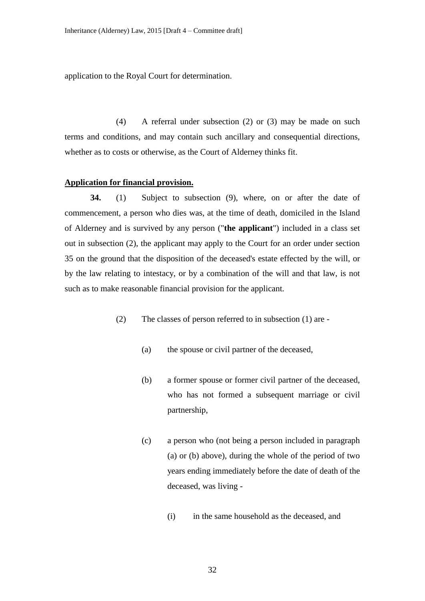application to the Royal Court for determination.

(4) A referral under subsection (2) or (3) may be made on such terms and conditions, and may contain such ancillary and consequential directions, whether as to costs or otherwise, as the Court of Alderney thinks fit.

## **Application for financial provision.**

**34.** (1) Subject to subsection (9), where, on or after the date of commencement, a person who dies was, at the time of death, domiciled in the Island of Alderney and is survived by any person ("**the applicant**") included in a class set out in subsection (2), the applicant may apply to the Court for an order under section 35 on the ground that the disposition of the deceased's estate effected by the will, or by the law relating to intestacy, or by a combination of the will and that law, is not such as to make reasonable financial provision for the applicant.

- (2) The classes of person referred to in subsection (1) are
	- (a) the spouse or civil partner of the deceased,
	- (b) a former spouse or former civil partner of the deceased, who has not formed a subsequent marriage or civil partnership,
	- (c) a person who (not being a person included in paragraph (a) or (b) above), during the whole of the period of two years ending immediately before the date of death of the deceased, was living -
		- (i) in the same household as the deceased, and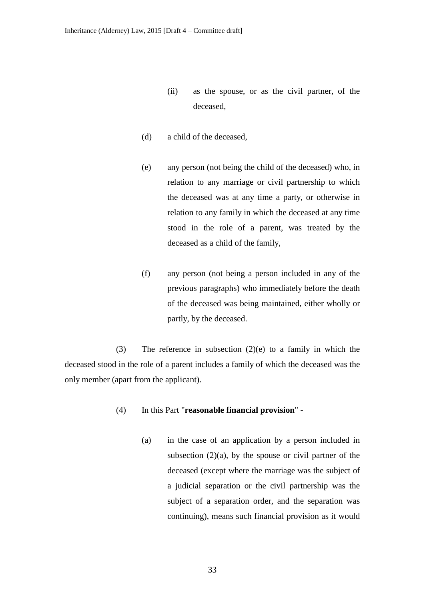- (ii) as the spouse, or as the civil partner, of the deceased,
- (d) a child of the deceased,
- (e) any person (not being the child of the deceased) who, in relation to any marriage or civil partnership to which the deceased was at any time a party, or otherwise in relation to any family in which the deceased at any time stood in the role of a parent, was treated by the deceased as a child of the family,
- (f) any person (not being a person included in any of the previous paragraphs) who immediately before the death of the deceased was being maintained, either wholly or partly, by the deceased.

(3) The reference in subsection (2)(e) to a family in which the deceased stood in the role of a parent includes a family of which the deceased was the only member (apart from the applicant).

- (4) In this Part "**reasonable financial provision**"
	- (a) in the case of an application by a person included in subsection  $(2)(a)$ , by the spouse or civil partner of the deceased (except where the marriage was the subject of a judicial separation or the civil partnership was the subject of a separation order, and the separation was continuing), means such financial provision as it would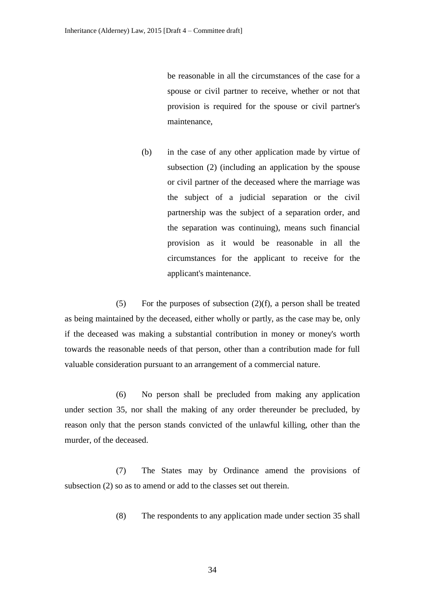be reasonable in all the circumstances of the case for a spouse or civil partner to receive, whether or not that provision is required for the spouse or civil partner's maintenance,

(b) in the case of any other application made by virtue of subsection (2) (including an application by the spouse or civil partner of the deceased where the marriage was the subject of a judicial separation or the civil partnership was the subject of a separation order, and the separation was continuing), means such financial provision as it would be reasonable in all the circumstances for the applicant to receive for the applicant's maintenance.

(5) For the purposes of subsection  $(2)(f)$ , a person shall be treated as being maintained by the deceased, either wholly or partly, as the case may be, only if the deceased was making a substantial contribution in money or money's worth towards the reasonable needs of that person, other than a contribution made for full valuable consideration pursuant to an arrangement of a commercial nature.

(6) No person shall be precluded from making any application under section 35, nor shall the making of any order thereunder be precluded, by reason only that the person stands convicted of the unlawful killing, other than the murder, of the deceased.

(7) The States may by Ordinance amend the provisions of subsection (2) so as to amend or add to the classes set out therein.

(8) The respondents to any application made under section 35 shall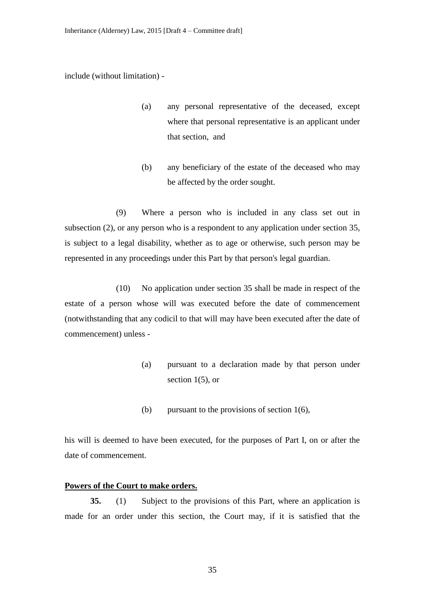include (without limitation) -

- (a) any personal representative of the deceased, except where that personal representative is an applicant under that section, and
- (b) any beneficiary of the estate of the deceased who may be affected by the order sought.

(9) Where a person who is included in any class set out in subsection (2), or any person who is a respondent to any application under section 35, is subject to a legal disability, whether as to age or otherwise, such person may be represented in any proceedings under this Part by that person's legal guardian.

(10) No application under section 35 shall be made in respect of the estate of a person whose will was executed before the date of commencement (notwithstanding that any codicil to that will may have been executed after the date of commencement) unless -

- (a) pursuant to a declaration made by that person under section  $1(5)$ , or
- (b) pursuant to the provisions of section 1(6),

his will is deemed to have been executed, for the purposes of Part I, on or after the date of commencement.

## **Powers of the Court to make orders.**

**35.** (1) Subject to the provisions of this Part, where an application is made for an order under this section, the Court may, if it is satisfied that the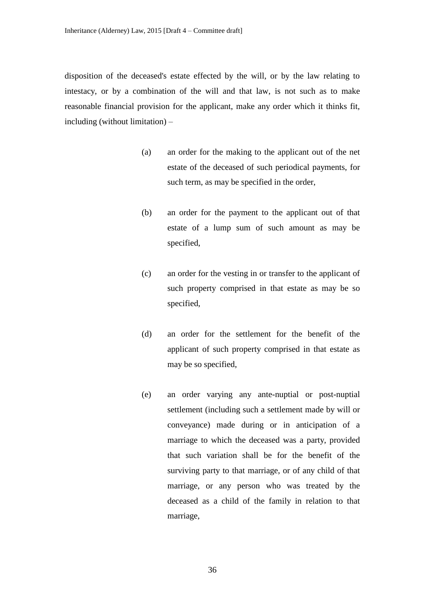disposition of the deceased's estate effected by the will, or by the law relating to intestacy, or by a combination of the will and that law, is not such as to make reasonable financial provision for the applicant, make any order which it thinks fit, including (without limitation) –

- (a) an order for the making to the applicant out of the net estate of the deceased of such periodical payments, for such term, as may be specified in the order,
- (b) an order for the payment to the applicant out of that estate of a lump sum of such amount as may be specified,
- (c) an order for the vesting in or transfer to the applicant of such property comprised in that estate as may be so specified,
- (d) an order for the settlement for the benefit of the applicant of such property comprised in that estate as may be so specified,
- (e) an order varying any ante-nuptial or post-nuptial settlement (including such a settlement made by will or conveyance) made during or in anticipation of a marriage to which the deceased was a party, provided that such variation shall be for the benefit of the surviving party to that marriage, or of any child of that marriage, or any person who was treated by the deceased as a child of the family in relation to that marriage,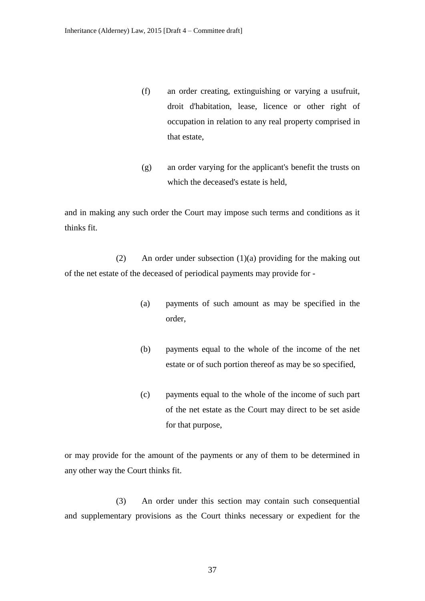- (f) an order creating, extinguishing or varying a usufruit, droit d'habitation, lease, licence or other right of occupation in relation to any real property comprised in that estate,
- (g) an order varying for the applicant's benefit the trusts on which the deceased's estate is held,

and in making any such order the Court may impose such terms and conditions as it thinks fit.

(2) An order under subsection (1)(a) providing for the making out of the net estate of the deceased of periodical payments may provide for -

- (a) payments of such amount as may be specified in the order,
- (b) payments equal to the whole of the income of the net estate or of such portion thereof as may be so specified,
- (c) payments equal to the whole of the income of such part of the net estate as the Court may direct to be set aside for that purpose,

or may provide for the amount of the payments or any of them to be determined in any other way the Court thinks fit.

(3) An order under this section may contain such consequential and supplementary provisions as the Court thinks necessary or expedient for the

37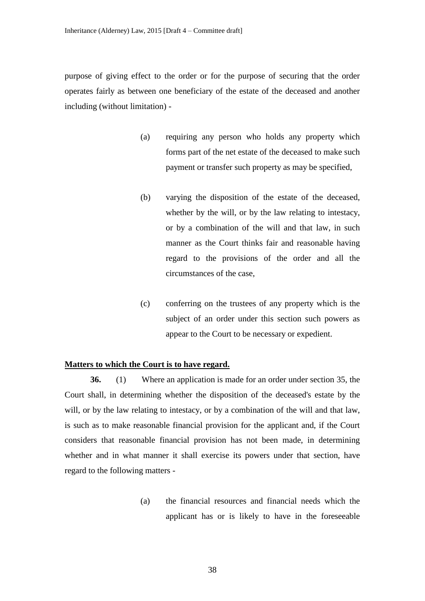purpose of giving effect to the order or for the purpose of securing that the order operates fairly as between one beneficiary of the estate of the deceased and another including (without limitation) -

- (a) requiring any person who holds any property which forms part of the net estate of the deceased to make such payment or transfer such property as may be specified,
- (b) varying the disposition of the estate of the deceased, whether by the will, or by the law relating to intestacy, or by a combination of the will and that law, in such manner as the Court thinks fair and reasonable having regard to the provisions of the order and all the circumstances of the case,
- (c) conferring on the trustees of any property which is the subject of an order under this section such powers as appear to the Court to be necessary or expedient.

#### **Matters to which the Court is to have regard.**

**36.** (1) Where an application is made for an order under section 35, the Court shall, in determining whether the disposition of the deceased's estate by the will, or by the law relating to intestacy, or by a combination of the will and that law, is such as to make reasonable financial provision for the applicant and, if the Court considers that reasonable financial provision has not been made, in determining whether and in what manner it shall exercise its powers under that section, have regard to the following matters -

> (a) the financial resources and financial needs which the applicant has or is likely to have in the foreseeable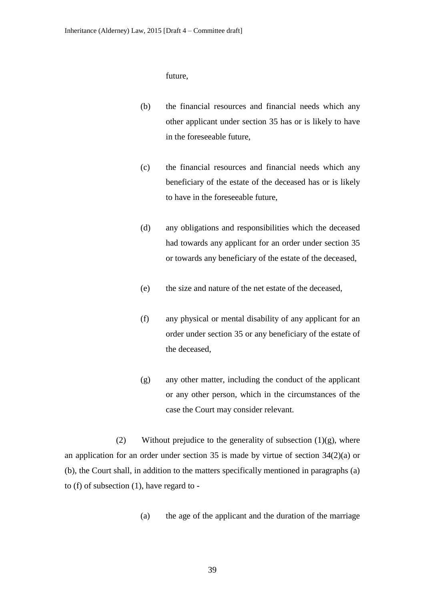future,

- (b) the financial resources and financial needs which any other applicant under section 35 has or is likely to have in the foreseeable future,
- (c) the financial resources and financial needs which any beneficiary of the estate of the deceased has or is likely to have in the foreseeable future,
- (d) any obligations and responsibilities which the deceased had towards any applicant for an order under section 35 or towards any beneficiary of the estate of the deceased,
- (e) the size and nature of the net estate of the deceased,
- (f) any physical or mental disability of any applicant for an order under section 35 or any beneficiary of the estate of the deceased,
- (g) any other matter, including the conduct of the applicant or any other person, which in the circumstances of the case the Court may consider relevant.

(2) Without prejudice to the generality of subsection  $(1)(g)$ , where an application for an order under section 35 is made by virtue of section 34(2)(a) or (b), the Court shall, in addition to the matters specifically mentioned in paragraphs (a) to (f) of subsection (1), have regard to -

(a) the age of the applicant and the duration of the marriage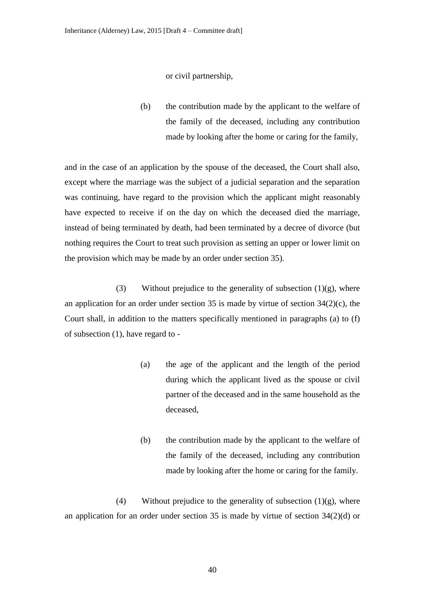or civil partnership,

(b) the contribution made by the applicant to the welfare of the family of the deceased, including any contribution made by looking after the home or caring for the family,

and in the case of an application by the spouse of the deceased, the Court shall also, except where the marriage was the subject of a judicial separation and the separation was continuing, have regard to the provision which the applicant might reasonably have expected to receive if on the day on which the deceased died the marriage, instead of being terminated by death, had been terminated by a decree of divorce (but nothing requires the Court to treat such provision as setting an upper or lower limit on the provision which may be made by an order under section 35).

(3) Without prejudice to the generality of subsection  $(1)(g)$ , where an application for an order under section 35 is made by virtue of section  $34(2)(c)$ , the Court shall, in addition to the matters specifically mentioned in paragraphs (a) to (f) of subsection (1), have regard to -

- (a) the age of the applicant and the length of the period during which the applicant lived as the spouse or civil partner of the deceased and in the same household as the deceased,
- (b) the contribution made by the applicant to the welfare of the family of the deceased, including any contribution made by looking after the home or caring for the family.

(4) Without prejudice to the generality of subsection  $(1)(g)$ , where an application for an order under section 35 is made by virtue of section 34(2)(d) or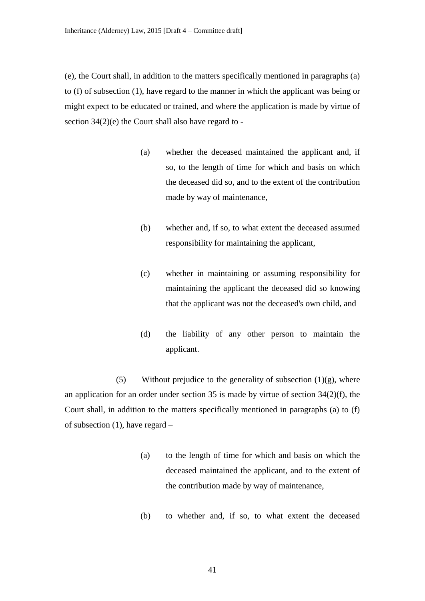(e), the Court shall, in addition to the matters specifically mentioned in paragraphs (a) to (f) of subsection (1), have regard to the manner in which the applicant was being or might expect to be educated or trained, and where the application is made by virtue of section 34(2)(e) the Court shall also have regard to -

- (a) whether the deceased maintained the applicant and, if so, to the length of time for which and basis on which the deceased did so, and to the extent of the contribution made by way of maintenance,
- (b) whether and, if so, to what extent the deceased assumed responsibility for maintaining the applicant,
- (c) whether in maintaining or assuming responsibility for maintaining the applicant the deceased did so knowing that the applicant was not the deceased's own child, and
- (d) the liability of any other person to maintain the applicant.

(5) Without prejudice to the generality of subsection  $(1)(g)$ , where an application for an order under section 35 is made by virtue of section 34(2)(f), the Court shall, in addition to the matters specifically mentioned in paragraphs (a) to (f) of subsection (1), have regard –

- (a) to the length of time for which and basis on which the deceased maintained the applicant, and to the extent of the contribution made by way of maintenance,
- (b) to whether and, if so, to what extent the deceased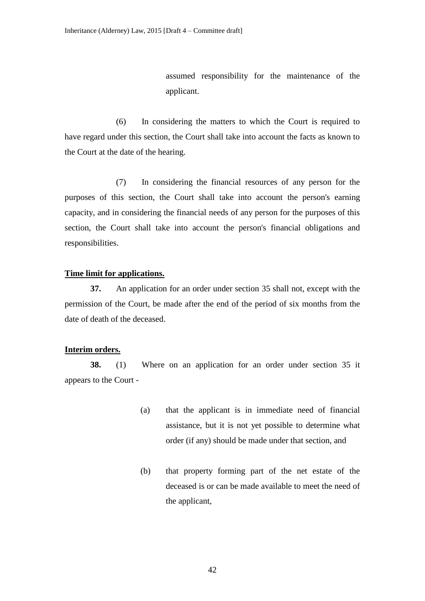assumed responsibility for the maintenance of the applicant.

(6) In considering the matters to which the Court is required to have regard under this section, the Court shall take into account the facts as known to the Court at the date of the hearing.

(7) In considering the financial resources of any person for the purposes of this section, the Court shall take into account the person's earning capacity, and in considering the financial needs of any person for the purposes of this section, the Court shall take into account the person's financial obligations and responsibilities.

### **Time limit for applications.**

**37.** An application for an order under section 35 shall not, except with the permission of the Court, be made after the end of the period of six months from the date of death of the deceased.

# **Interim orders.**

**38.** (1) Where on an application for an order under section 35 it appears to the Court -

- (a) that the applicant is in immediate need of financial assistance, but it is not yet possible to determine what order (if any) should be made under that section, and
- (b) that property forming part of the net estate of the deceased is or can be made available to meet the need of the applicant,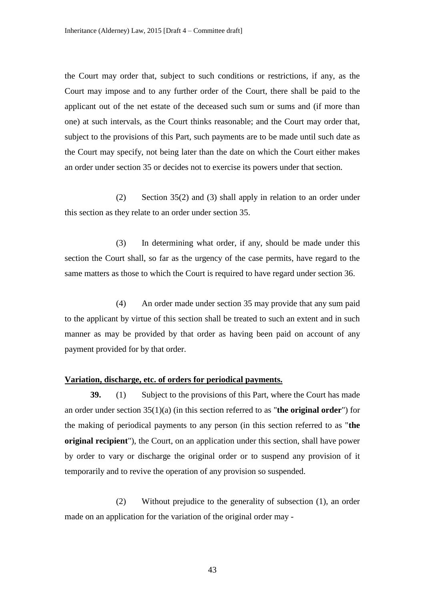the Court may order that, subject to such conditions or restrictions, if any, as the Court may impose and to any further order of the Court, there shall be paid to the applicant out of the net estate of the deceased such sum or sums and (if more than one) at such intervals, as the Court thinks reasonable; and the Court may order that, subject to the provisions of this Part, such payments are to be made until such date as the Court may specify, not being later than the date on which the Court either makes an order under section 35 or decides not to exercise its powers under that section.

(2) Section 35(2) and (3) shall apply in relation to an order under this section as they relate to an order under section 35.

(3) In determining what order, if any, should be made under this section the Court shall, so far as the urgency of the case permits, have regard to the same matters as those to which the Court is required to have regard under section 36.

(4) An order made under section 35 may provide that any sum paid to the applicant by virtue of this section shall be treated to such an extent and in such manner as may be provided by that order as having been paid on account of any payment provided for by that order.

### **Variation, discharge, etc. of orders for periodical payments.**

**39.** (1) Subject to the provisions of this Part, where the Court has made an order under section 35(1)(a) (in this section referred to as "**the original order**") for the making of periodical payments to any person (in this section referred to as "**the original recipient**"), the Court, on an application under this section, shall have power by order to vary or discharge the original order or to suspend any provision of it temporarily and to revive the operation of any provision so suspended.

(2) Without prejudice to the generality of subsection (1), an order made on an application for the variation of the original order may -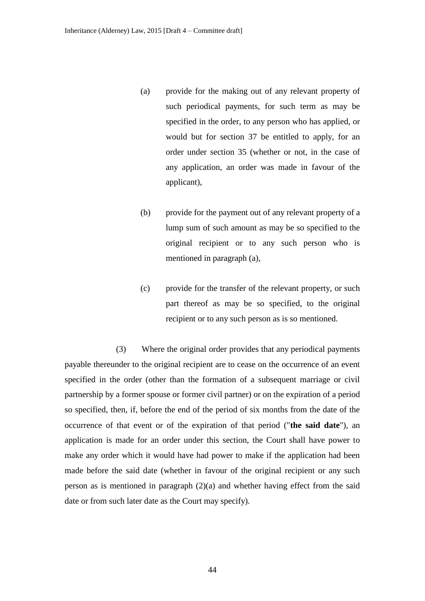- (a) provide for the making out of any relevant property of such periodical payments, for such term as may be specified in the order, to any person who has applied, or would but for section 37 be entitled to apply, for an order under section 35 (whether or not, in the case of any application, an order was made in favour of the applicant),
- (b) provide for the payment out of any relevant property of a lump sum of such amount as may be so specified to the original recipient or to any such person who is mentioned in paragraph (a),
- (c) provide for the transfer of the relevant property, or such part thereof as may be so specified, to the original recipient or to any such person as is so mentioned.

(3) Where the original order provides that any periodical payments payable thereunder to the original recipient are to cease on the occurrence of an event specified in the order (other than the formation of a subsequent marriage or civil partnership by a former spouse or former civil partner) or on the expiration of a period so specified, then, if, before the end of the period of six months from the date of the occurrence of that event or of the expiration of that period ("**the said date**"), an application is made for an order under this section, the Court shall have power to make any order which it would have had power to make if the application had been made before the said date (whether in favour of the original recipient or any such person as is mentioned in paragraph (2)(a) and whether having effect from the said date or from such later date as the Court may specify).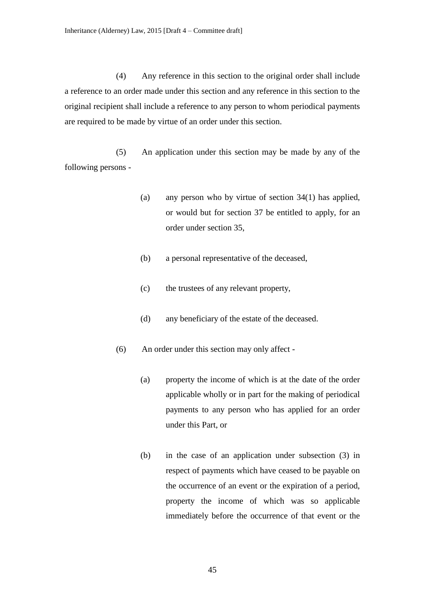(4) Any reference in this section to the original order shall include a reference to an order made under this section and any reference in this section to the original recipient shall include a reference to any person to whom periodical payments are required to be made by virtue of an order under this section.

(5) An application under this section may be made by any of the following persons -

- (a) any person who by virtue of section 34(1) has applied, or would but for section 37 be entitled to apply, for an order under section 35,
- (b) a personal representative of the deceased,
- (c) the trustees of any relevant property,
- (d) any beneficiary of the estate of the deceased.
- (6) An order under this section may only affect
	- (a) property the income of which is at the date of the order applicable wholly or in part for the making of periodical payments to any person who has applied for an order under this Part, or
	- (b) in the case of an application under subsection (3) in respect of payments which have ceased to be payable on the occurrence of an event or the expiration of a period, property the income of which was so applicable immediately before the occurrence of that event or the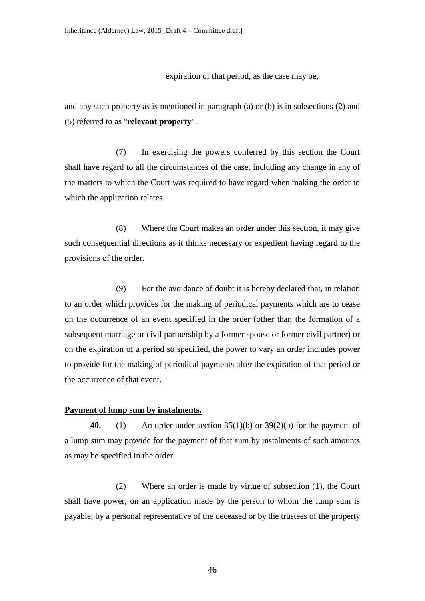expiration of that period, as the case may be,

and any such property as is mentioned in paragraph (a) or (b) is in subsections (2) and (5) referred to as "**relevant property**".

(7) In exercising the powers conferred by this section the Court shall have regard to all the circumstances of the case, including any change in any of the matters to which the Court was required to have regard when making the order to which the application relates.

(8) Where the Court makes an order under this section, it may give such consequential directions as it thinks necessary or expedient having regard to the provisions of the order.

(9) For the avoidance of doubt it is hereby declared that, in relation to an order which provides for the making of periodical payments which are to cease on the occurrence of an event specified in the order (other than the formation of a subsequent marriage or civil partnership by a former spouse or former civil partner) or on the expiration of a period so specified, the power to vary an order includes power to provide for the making of periodical payments after the expiration of that period or the occurrence of that event.

# **Payment of lump sum by instalments.**

**40.** (1) An order under section 35(1)(b) or 39(2)(b) for the payment of a lump sum may provide for the payment of that sum by instalments of such amounts as may be specified in the order.

(2) Where an order is made by virtue of subsection (1), the Court shall have power, on an application made by the person to whom the lump sum is payable, by a personal representative of the deceased or by the trustees of the property

46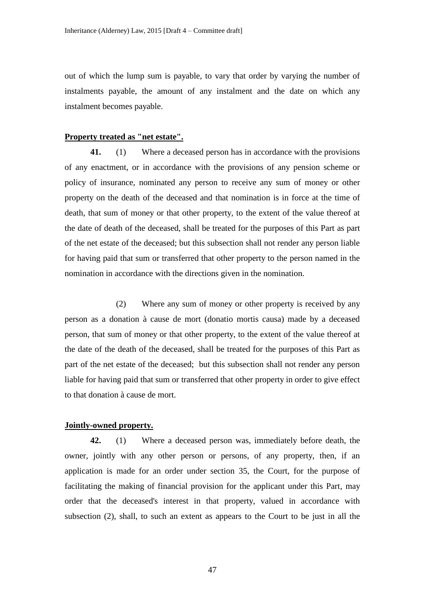out of which the lump sum is payable, to vary that order by varying the number of instalments payable, the amount of any instalment and the date on which any instalment becomes payable.

# **Property treated as "net estate".**

**41.** (1) Where a deceased person has in accordance with the provisions of any enactment, or in accordance with the provisions of any pension scheme or policy of insurance, nominated any person to receive any sum of money or other property on the death of the deceased and that nomination is in force at the time of death, that sum of money or that other property, to the extent of the value thereof at the date of death of the deceased, shall be treated for the purposes of this Part as part of the net estate of the deceased; but this subsection shall not render any person liable for having paid that sum or transferred that other property to the person named in the nomination in accordance with the directions given in the nomination.

(2) Where any sum of money or other property is received by any person as a donation à cause de mort (donatio mortis causa) made by a deceased person, that sum of money or that other property, to the extent of the value thereof at the date of the death of the deceased, shall be treated for the purposes of this Part as part of the net estate of the deceased; but this subsection shall not render any person liable for having paid that sum or transferred that other property in order to give effect to that donation à cause de mort.

# **Jointly-owned property.**

**42.** (1) Where a deceased person was, immediately before death, the owner, jointly with any other person or persons, of any property, then, if an application is made for an order under section 35, the Court, for the purpose of facilitating the making of financial provision for the applicant under this Part, may order that the deceased's interest in that property, valued in accordance with subsection (2), shall, to such an extent as appears to the Court to be just in all the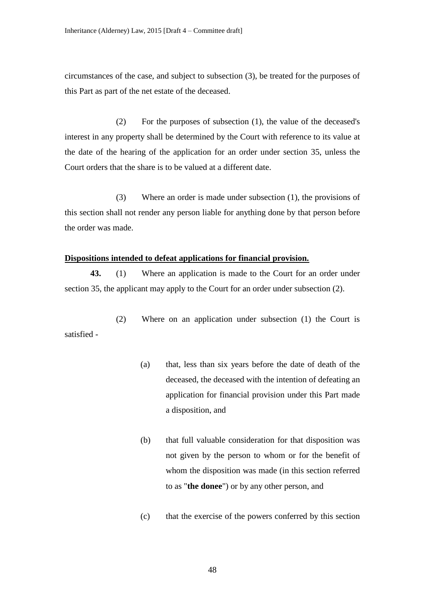circumstances of the case, and subject to subsection (3), be treated for the purposes of this Part as part of the net estate of the deceased.

(2) For the purposes of subsection (1), the value of the deceased's interest in any property shall be determined by the Court with reference to its value at the date of the hearing of the application for an order under section 35, unless the Court orders that the share is to be valued at a different date.

(3) Where an order is made under subsection (1), the provisions of this section shall not render any person liable for anything done by that person before the order was made.

# **Dispositions intended to defeat applications for financial provision.**

**43.** (1) Where an application is made to the Court for an order under section 35, the applicant may apply to the Court for an order under subsection (2).

(2) Where on an application under subsection (1) the Court is satisfied -

- (a) that, less than six years before the date of death of the deceased, the deceased with the intention of defeating an application for financial provision under this Part made a disposition, and
- (b) that full valuable consideration for that disposition was not given by the person to whom or for the benefit of whom the disposition was made (in this section referred to as "**the donee**") or by any other person, and
- (c) that the exercise of the powers conferred by this section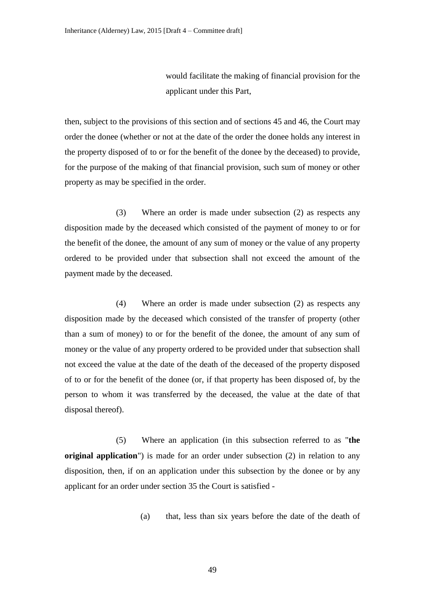would facilitate the making of financial provision for the applicant under this Part,

then, subject to the provisions of this section and of sections 45 and 46, the Court may order the donee (whether or not at the date of the order the donee holds any interest in the property disposed of to or for the benefit of the donee by the deceased) to provide, for the purpose of the making of that financial provision, such sum of money or other property as may be specified in the order.

(3) Where an order is made under subsection (2) as respects any disposition made by the deceased which consisted of the payment of money to or for the benefit of the donee, the amount of any sum of money or the value of any property ordered to be provided under that subsection shall not exceed the amount of the payment made by the deceased.

(4) Where an order is made under subsection (2) as respects any disposition made by the deceased which consisted of the transfer of property (other than a sum of money) to or for the benefit of the donee, the amount of any sum of money or the value of any property ordered to be provided under that subsection shall not exceed the value at the date of the death of the deceased of the property disposed of to or for the benefit of the donee (or, if that property has been disposed of, by the person to whom it was transferred by the deceased, the value at the date of that disposal thereof).

(5) Where an application (in this subsection referred to as "**the original application**") is made for an order under subsection (2) in relation to any disposition, then, if on an application under this subsection by the donee or by any applicant for an order under section 35 the Court is satisfied -

(a) that, less than six years before the date of the death of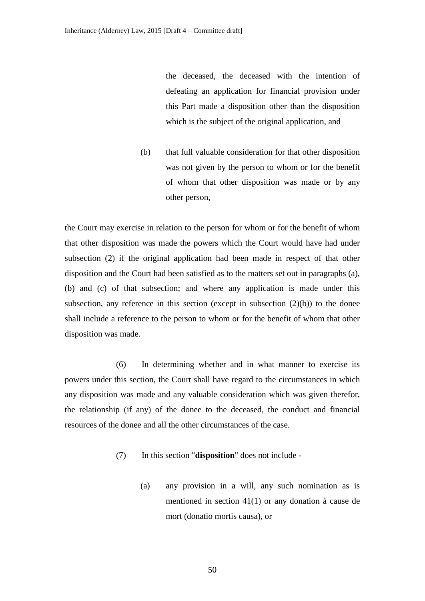the deceased, the deceased with the intention of defeating an application for financial provision under this Part made a disposition other than the disposition which is the subject of the original application, and

(b) that full valuable consideration for that other disposition was not given by the person to whom or for the benefit of whom that other disposition was made or by any other person,

the Court may exercise in relation to the person for whom or for the benefit of whom that other disposition was made the powers which the Court would have had under subsection (2) if the original application had been made in respect of that other disposition and the Court had been satisfied as to the matters set out in paragraphs (a), (b) and (c) of that subsection; and where any application is made under this subsection, any reference in this section (except in subsection  $(2)(b)$ ) to the donee shall include a reference to the person to whom or for the benefit of whom that other disposition was made.

(6) In determining whether and in what manner to exercise its powers under this section, the Court shall have regard to the circumstances in which any disposition was made and any valuable consideration which was given therefor, the relationship (if any) of the donee to the deceased, the conduct and financial resources of the donee and all the other circumstances of the case.

- (7) In this section "**disposition**" does not include
	- (a) any provision in a will, any such nomination as is mentioned in section 41(1) or any donation à cause de mort (donatio mortis causa), or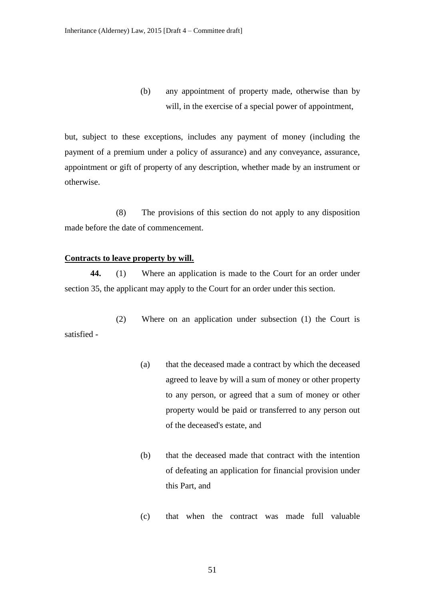(b) any appointment of property made, otherwise than by will, in the exercise of a special power of appointment,

but, subject to these exceptions, includes any payment of money (including the payment of a premium under a policy of assurance) and any conveyance, assurance, appointment or gift of property of any description, whether made by an instrument or otherwise.

(8) The provisions of this section do not apply to any disposition made before the date of commencement.

# **Contracts to leave property by will.**

**44.** (1) Where an application is made to the Court for an order under section 35, the applicant may apply to the Court for an order under this section.

(2) Where on an application under subsection (1) the Court is satisfied -

- (a) that the deceased made a contract by which the deceased agreed to leave by will a sum of money or other property to any person, or agreed that a sum of money or other property would be paid or transferred to any person out of the deceased's estate, and
- (b) that the deceased made that contract with the intention of defeating an application for financial provision under this Part, and
- (c) that when the contract was made full valuable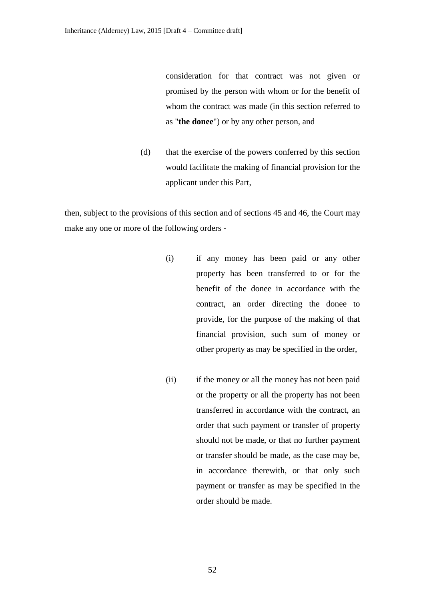consideration for that contract was not given or promised by the person with whom or for the benefit of whom the contract was made (in this section referred to as "**the donee**") or by any other person, and

(d) that the exercise of the powers conferred by this section would facilitate the making of financial provision for the applicant under this Part,

then, subject to the provisions of this section and of sections 45 and 46, the Court may make any one or more of the following orders -

- (i) if any money has been paid or any other property has been transferred to or for the benefit of the donee in accordance with the contract, an order directing the donee to provide, for the purpose of the making of that financial provision, such sum of money or other property as may be specified in the order,
- (ii) if the money or all the money has not been paid or the property or all the property has not been transferred in accordance with the contract, an order that such payment or transfer of property should not be made, or that no further payment or transfer should be made, as the case may be, in accordance therewith, or that only such payment or transfer as may be specified in the order should be made.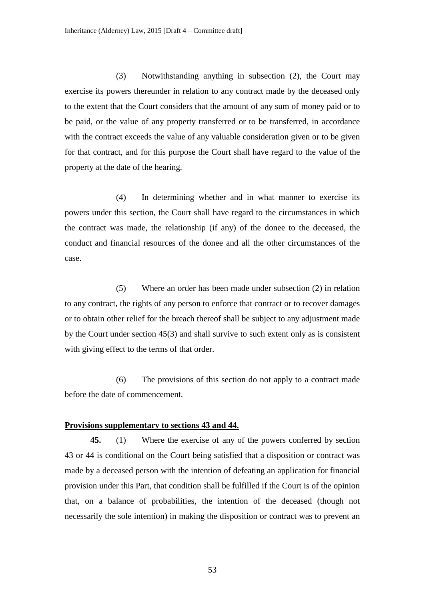(3) Notwithstanding anything in subsection (2), the Court may exercise its powers thereunder in relation to any contract made by the deceased only to the extent that the Court considers that the amount of any sum of money paid or to be paid, or the value of any property transferred or to be transferred, in accordance with the contract exceeds the value of any valuable consideration given or to be given for that contract, and for this purpose the Court shall have regard to the value of the property at the date of the hearing.

(4) In determining whether and in what manner to exercise its powers under this section, the Court shall have regard to the circumstances in which the contract was made, the relationship (if any) of the donee to the deceased, the conduct and financial resources of the donee and all the other circumstances of the case.

(5) Where an order has been made under subsection (2) in relation to any contract, the rights of any person to enforce that contract or to recover damages or to obtain other relief for the breach thereof shall be subject to any adjustment made by the Court under section 45(3) and shall survive to such extent only as is consistent with giving effect to the terms of that order.

(6) The provisions of this section do not apply to a contract made before the date of commencement.

## **Provisions supplementary to sections 43 and 44.**

**45.** (1) Where the exercise of any of the powers conferred by section 43 or 44 is conditional on the Court being satisfied that a disposition or contract was made by a deceased person with the intention of defeating an application for financial provision under this Part, that condition shall be fulfilled if the Court is of the opinion that, on a balance of probabilities, the intention of the deceased (though not necessarily the sole intention) in making the disposition or contract was to prevent an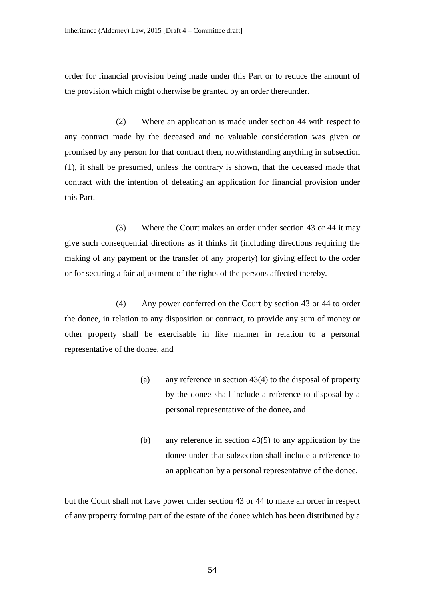order for financial provision being made under this Part or to reduce the amount of the provision which might otherwise be granted by an order thereunder.

(2) Where an application is made under section 44 with respect to any contract made by the deceased and no valuable consideration was given or promised by any person for that contract then, notwithstanding anything in subsection (1), it shall be presumed, unless the contrary is shown, that the deceased made that contract with the intention of defeating an application for financial provision under this Part.

(3) Where the Court makes an order under section 43 or 44 it may give such consequential directions as it thinks fit (including directions requiring the making of any payment or the transfer of any property) for giving effect to the order or for securing a fair adjustment of the rights of the persons affected thereby.

(4) Any power conferred on the Court by section 43 or 44 to order the donee, in relation to any disposition or contract, to provide any sum of money or other property shall be exercisable in like manner in relation to a personal representative of the donee, and

- (a) any reference in section 43(4) to the disposal of property by the donee shall include a reference to disposal by a personal representative of the donee, and
- (b) any reference in section 43(5) to any application by the donee under that subsection shall include a reference to an application by a personal representative of the donee,

but the Court shall not have power under section 43 or 44 to make an order in respect of any property forming part of the estate of the donee which has been distributed by a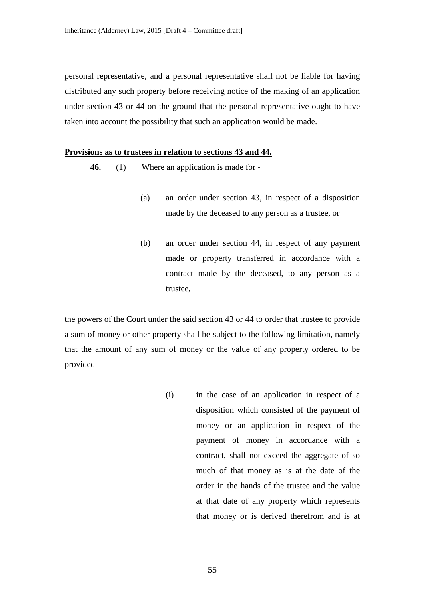personal representative, and a personal representative shall not be liable for having distributed any such property before receiving notice of the making of an application under section 43 or 44 on the ground that the personal representative ought to have taken into account the possibility that such an application would be made.

## **Provisions as to trustees in relation to sections 43 and 44.**

- **46.** (1) Where an application is made for
	- (a) an order under section 43, in respect of a disposition made by the deceased to any person as a trustee, or
	- (b) an order under section 44, in respect of any payment made or property transferred in accordance with a contract made by the deceased, to any person as a trustee,

the powers of the Court under the said section 43 or 44 to order that trustee to provide a sum of money or other property shall be subject to the following limitation, namely that the amount of any sum of money or the value of any property ordered to be provided -

> (i) in the case of an application in respect of a disposition which consisted of the payment of money or an application in respect of the payment of money in accordance with a contract, shall not exceed the aggregate of so much of that money as is at the date of the order in the hands of the trustee and the value at that date of any property which represents that money or is derived therefrom and is at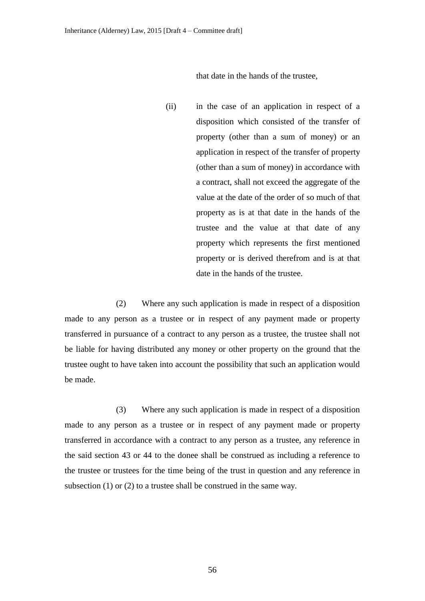that date in the hands of the trustee,

(ii) in the case of an application in respect of a disposition which consisted of the transfer of property (other than a sum of money) or an application in respect of the transfer of property (other than a sum of money) in accordance with a contract, shall not exceed the aggregate of the value at the date of the order of so much of that property as is at that date in the hands of the trustee and the value at that date of any property which represents the first mentioned property or is derived therefrom and is at that date in the hands of the trustee.

(2) Where any such application is made in respect of a disposition made to any person as a trustee or in respect of any payment made or property transferred in pursuance of a contract to any person as a trustee, the trustee shall not be liable for having distributed any money or other property on the ground that the trustee ought to have taken into account the possibility that such an application would be made.

(3) Where any such application is made in respect of a disposition made to any person as a trustee or in respect of any payment made or property transferred in accordance with a contract to any person as a trustee, any reference in the said section 43 or 44 to the donee shall be construed as including a reference to the trustee or trustees for the time being of the trust in question and any reference in subsection (1) or (2) to a trustee shall be construed in the same way.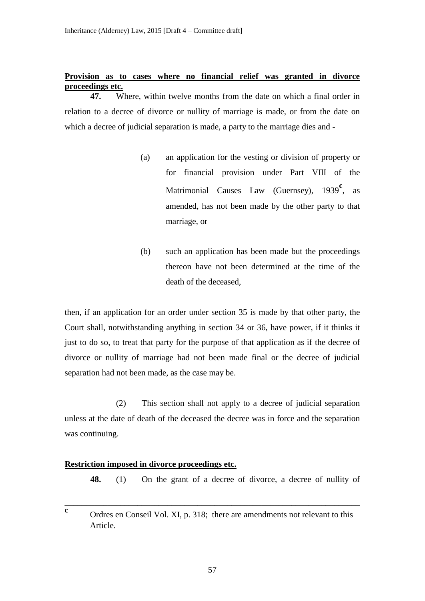# **Provision as to cases where no financial relief was granted in divorce proceedings etc.**

**47.** Where, within twelve months from the date on which a final order in relation to a decree of divorce or nullity of marriage is made, or from the date on which a decree of judicial separation is made, a party to the marriage dies and -

- (a) an application for the vesting or division of property or for financial provision under Part VIII of the Matrimonial Causes Law (Guernsey), 1939<sup>c</sup>, as amended, has not been made by the other party to that marriage, or
- (b) such an application has been made but the proceedings thereon have not been determined at the time of the death of the deceased,

then, if an application for an order under section 35 is made by that other party, the Court shall, notwithstanding anything in section 34 or 36, have power, if it thinks it just to do so, to treat that party for the purpose of that application as if the decree of divorce or nullity of marriage had not been made final or the decree of judicial separation had not been made, as the case may be.

(2) This section shall not apply to a decree of judicial separation unless at the date of death of the deceased the decree was in force and the separation was continuing.

# **Restriction imposed in divorce proceedings etc.**

**48.** (1) On the grant of a decree of divorce, a decree of nullity of

**c** Ordres en Conseil Vol. XI, p. 318; there are amendments not relevant to this Article.

\_\_\_\_\_\_\_\_\_\_\_\_\_\_\_\_\_\_\_\_\_\_\_\_\_\_\_\_\_\_\_\_\_\_\_\_\_\_\_\_\_\_\_\_\_\_\_\_\_\_\_\_\_\_\_\_\_\_\_\_\_\_\_\_\_\_\_\_\_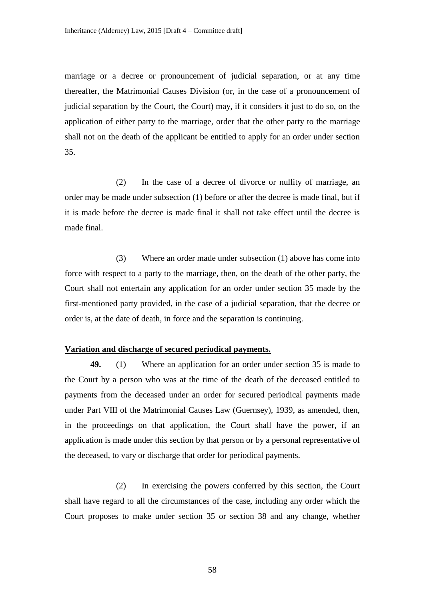marriage or a decree or pronouncement of judicial separation, or at any time thereafter, the Matrimonial Causes Division (or, in the case of a pronouncement of judicial separation by the Court, the Court) may, if it considers it just to do so, on the application of either party to the marriage, order that the other party to the marriage shall not on the death of the applicant be entitled to apply for an order under section 35.

(2) In the case of a decree of divorce or nullity of marriage, an order may be made under subsection (1) before or after the decree is made final, but if it is made before the decree is made final it shall not take effect until the decree is made final.

(3) Where an order made under subsection (1) above has come into force with respect to a party to the marriage, then, on the death of the other party, the Court shall not entertain any application for an order under section 35 made by the first-mentioned party provided, in the case of a judicial separation, that the decree or order is, at the date of death, in force and the separation is continuing.

## **Variation and discharge of secured periodical payments.**

**49.** (1) Where an application for an order under section 35 is made to the Court by a person who was at the time of the death of the deceased entitled to payments from the deceased under an order for secured periodical payments made under Part VIII of the Matrimonial Causes Law (Guernsey), 1939, as amended, then, in the proceedings on that application, the Court shall have the power, if an application is made under this section by that person or by a personal representative of the deceased, to vary or discharge that order for periodical payments.

(2) In exercising the powers conferred by this section, the Court shall have regard to all the circumstances of the case, including any order which the Court proposes to make under section 35 or section 38 and any change, whether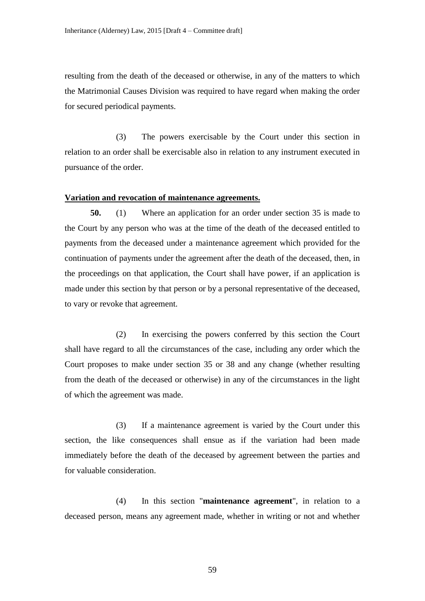resulting from the death of the deceased or otherwise, in any of the matters to which the Matrimonial Causes Division was required to have regard when making the order for secured periodical payments.

(3) The powers exercisable by the Court under this section in relation to an order shall be exercisable also in relation to any instrument executed in pursuance of the order.

#### **Variation and revocation of maintenance agreements.**

**50.** (1) Where an application for an order under section 35 is made to the Court by any person who was at the time of the death of the deceased entitled to payments from the deceased under a maintenance agreement which provided for the continuation of payments under the agreement after the death of the deceased, then, in the proceedings on that application, the Court shall have power, if an application is made under this section by that person or by a personal representative of the deceased, to vary or revoke that agreement.

(2) In exercising the powers conferred by this section the Court shall have regard to all the circumstances of the case, including any order which the Court proposes to make under section 35 or 38 and any change (whether resulting from the death of the deceased or otherwise) in any of the circumstances in the light of which the agreement was made.

(3) If a maintenance agreement is varied by the Court under this section, the like consequences shall ensue as if the variation had been made immediately before the death of the deceased by agreement between the parties and for valuable consideration.

(4) In this section "**maintenance agreement**", in relation to a deceased person, means any agreement made, whether in writing or not and whether

59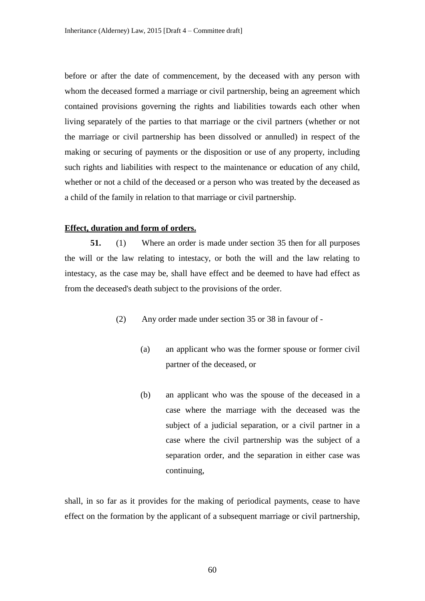before or after the date of commencement, by the deceased with any person with whom the deceased formed a marriage or civil partnership, being an agreement which contained provisions governing the rights and liabilities towards each other when living separately of the parties to that marriage or the civil partners (whether or not the marriage or civil partnership has been dissolved or annulled) in respect of the making or securing of payments or the disposition or use of any property, including such rights and liabilities with respect to the maintenance or education of any child, whether or not a child of the deceased or a person who was treated by the deceased as a child of the family in relation to that marriage or civil partnership.

### **Effect, duration and form of orders.**

**51.** (1) Where an order is made under section 35 then for all purposes the will or the law relating to intestacy, or both the will and the law relating to intestacy, as the case may be, shall have effect and be deemed to have had effect as from the deceased's death subject to the provisions of the order.

- (2) Any order made under section 35 or 38 in favour of
	- (a) an applicant who was the former spouse or former civil partner of the deceased, or
	- (b) an applicant who was the spouse of the deceased in a case where the marriage with the deceased was the subject of a judicial separation, or a civil partner in a case where the civil partnership was the subject of a separation order, and the separation in either case was continuing,

shall, in so far as it provides for the making of periodical payments, cease to have effect on the formation by the applicant of a subsequent marriage or civil partnership,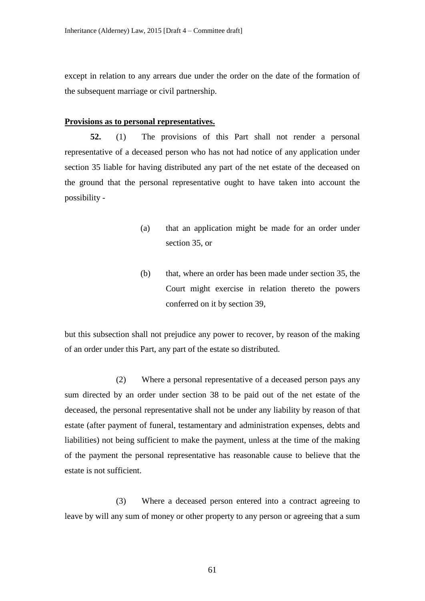except in relation to any arrears due under the order on the date of the formation of the subsequent marriage or civil partnership.

#### **Provisions as to personal representatives.**

**52.** (1) The provisions of this Part shall not render a personal representative of a deceased person who has not had notice of any application under section 35 liable for having distributed any part of the net estate of the deceased on the ground that the personal representative ought to have taken into account the possibility -

- (a) that an application might be made for an order under section 35, or
- (b) that, where an order has been made under section 35, the Court might exercise in relation thereto the powers conferred on it by section 39,

but this subsection shall not prejudice any power to recover, by reason of the making of an order under this Part, any part of the estate so distributed.

(2) Where a personal representative of a deceased person pays any sum directed by an order under section 38 to be paid out of the net estate of the deceased, the personal representative shall not be under any liability by reason of that estate (after payment of funeral, testamentary and administration expenses, debts and liabilities) not being sufficient to make the payment, unless at the time of the making of the payment the personal representative has reasonable cause to believe that the estate is not sufficient.

(3) Where a deceased person entered into a contract agreeing to leave by will any sum of money or other property to any person or agreeing that a sum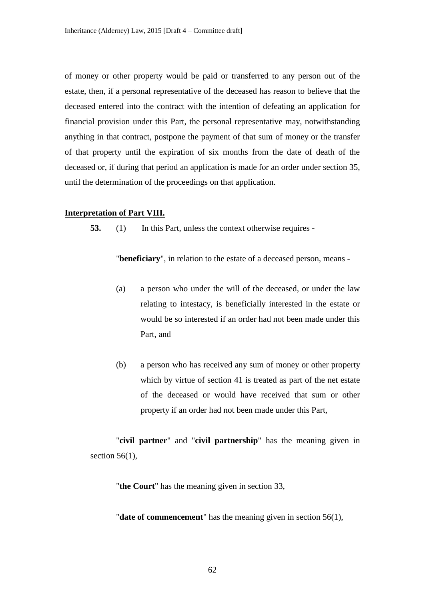of money or other property would be paid or transferred to any person out of the estate, then, if a personal representative of the deceased has reason to believe that the deceased entered into the contract with the intention of defeating an application for financial provision under this Part, the personal representative may, notwithstanding anything in that contract, postpone the payment of that sum of money or the transfer of that property until the expiration of six months from the date of death of the deceased or, if during that period an application is made for an order under section 35, until the determination of the proceedings on that application.

#### **Interpretation of Part VIII.**

**53.** (1) In this Part, unless the context otherwise requires -

"**beneficiary**", in relation to the estate of a deceased person, means -

- (a) a person who under the will of the deceased, or under the law relating to intestacy, is beneficially interested in the estate or would be so interested if an order had not been made under this Part, and
- (b) a person who has received any sum of money or other property which by virtue of section 41 is treated as part of the net estate of the deceased or would have received that sum or other property if an order had not been made under this Part,

"**civil partner**" and "**civil partnership**" has the meaning given in section  $56(1)$ ,

"**the Court**" has the meaning given in section 33,

"**date of commencement**" has the meaning given in section 56(1),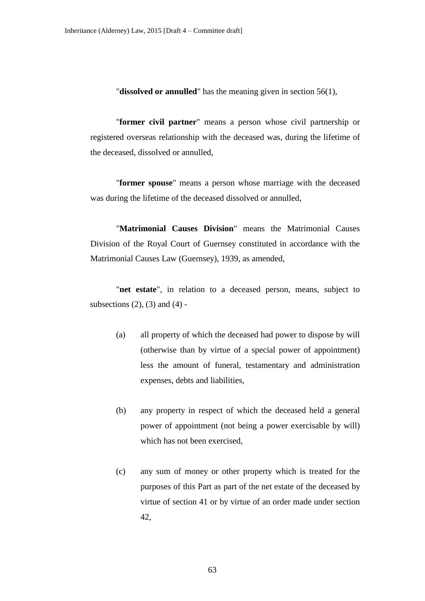"**dissolved or annulled**" has the meaning given in section 56(1),

"**former civil partner**" means a person whose civil partnership or registered overseas relationship with the deceased was, during the lifetime of the deceased, dissolved or annulled,

"**former spouse**" means a person whose marriage with the deceased was during the lifetime of the deceased dissolved or annulled,

"**Matrimonial Causes Division**" means the Matrimonial Causes Division of the Royal Court of Guernsey constituted in accordance with the Matrimonial Causes Law (Guernsey), 1939, as amended,

"**net estate**", in relation to a deceased person, means, subject to subsections  $(2)$ ,  $(3)$  and  $(4)$  -

- (a) all property of which the deceased had power to dispose by will (otherwise than by virtue of a special power of appointment) less the amount of funeral, testamentary and administration expenses, debts and liabilities,
- (b) any property in respect of which the deceased held a general power of appointment (not being a power exercisable by will) which has not been exercised,
- (c) any sum of money or other property which is treated for the purposes of this Part as part of the net estate of the deceased by virtue of section 41 or by virtue of an order made under section 42,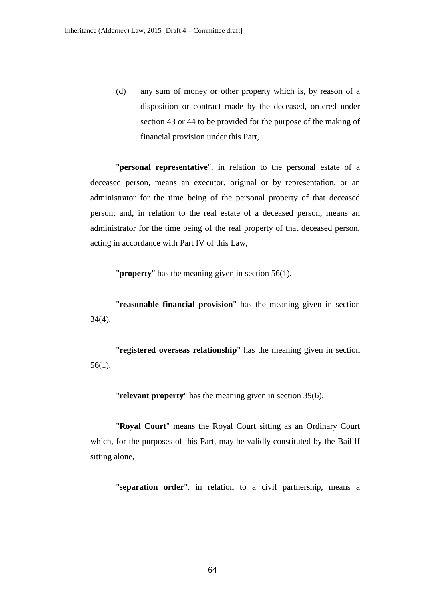(d) any sum of money or other property which is, by reason of a disposition or contract made by the deceased, ordered under section 43 or 44 to be provided for the purpose of the making of financial provision under this Part,

"**personal representative**", in relation to the personal estate of a deceased person, means an executor, original or by representation, or an administrator for the time being of the personal property of that deceased person; and, in relation to the real estate of a deceased person, means an administrator for the time being of the real property of that deceased person, acting in accordance with Part IV of this Law,

"**property**" has the meaning given in section 56(1),

"**reasonable financial provision**" has the meaning given in section 34(4),

"**registered overseas relationship**" has the meaning given in section 56(1),

"**relevant property**" has the meaning given in section 39(6),

"**Royal Court**" means the Royal Court sitting as an Ordinary Court which, for the purposes of this Part, may be validly constituted by the Bailiff sitting alone,

"**separation order**", in relation to a civil partnership, means a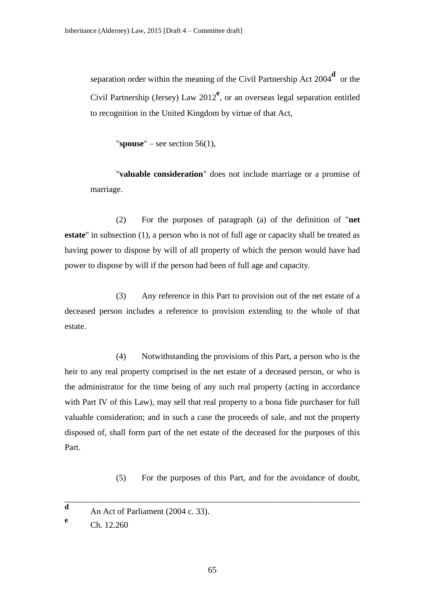separation order within the meaning of the Civil Partnership Act 2004<sup>d</sup> or the Civil Partnership (Jersey) Law 2012<sup>e</sup>, or an overseas legal separation entitled to recognition in the United Kingdom by virtue of that Act,

"**spouse**" – see section  $56(1)$ ,

"**valuable consideration**" does not include marriage or a promise of marriage.

(2) For the purposes of paragraph (a) of the definition of "**net estate**" in subsection (1), a person who is not of full age or capacity shall be treated as having power to dispose by will of all property of which the person would have had power to dispose by will if the person had been of full age and capacity.

(3) Any reference in this Part to provision out of the net estate of a deceased person includes a reference to provision extending to the whole of that estate.

(4) Notwithstanding the provisions of this Part, a person who is the heir to any real property comprised in the net estate of a deceased person, or who is the administrator for the time being of any such real property (acting in accordance with Part IV of this Law), may sell that real property to a bona fide purchaser for full valuable consideration; and in such a case the proceeds of sale, and not the property disposed of, shall form part of the net estate of the deceased for the purposes of this Part.

(5) For the purposes of this Part, and for the avoidance of doubt,

Ch. 12.260

**e**

\_\_\_\_\_\_\_\_\_\_\_\_\_\_\_\_\_\_\_\_\_\_\_\_\_\_\_\_\_\_\_\_\_\_\_\_\_\_\_\_\_\_\_\_\_\_\_\_\_\_\_\_\_\_\_\_\_\_\_\_\_\_\_\_\_\_\_\_\_

**d** An Act of Parliament (2004 c. 33).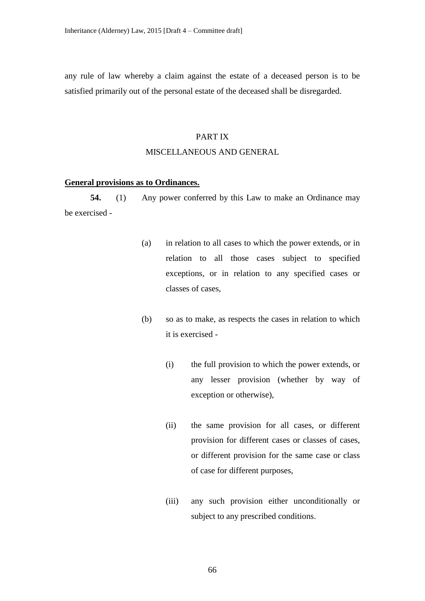any rule of law whereby a claim against the estate of a deceased person is to be satisfied primarily out of the personal estate of the deceased shall be disregarded.

# PART IX

### MISCELLANEOUS AND GENERAL

#### **General provisions as to Ordinances.**

**54.** (1) Any power conferred by this Law to make an Ordinance may be exercised -

- (a) in relation to all cases to which the power extends, or in relation to all those cases subject to specified exceptions, or in relation to any specified cases or classes of cases,
- (b) so as to make, as respects the cases in relation to which it is exercised -
	- (i) the full provision to which the power extends, or any lesser provision (whether by way of exception or otherwise),
	- (ii) the same provision for all cases, or different provision for different cases or classes of cases, or different provision for the same case or class of case for different purposes,
	- (iii) any such provision either unconditionally or subject to any prescribed conditions.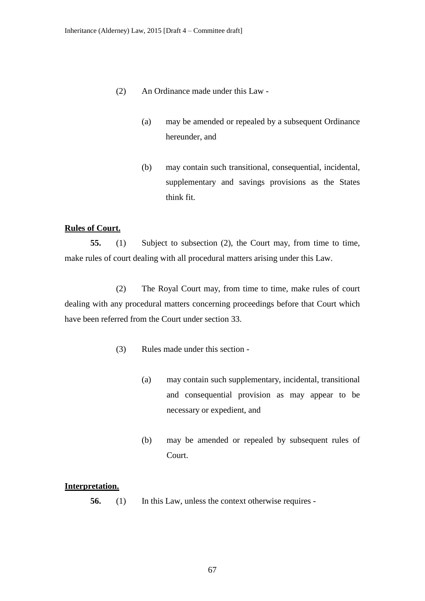- (2) An Ordinance made under this Law
	- (a) may be amended or repealed by a subsequent Ordinance hereunder, and
	- (b) may contain such transitional, consequential, incidental, supplementary and savings provisions as the States think fit.

### **Rules of Court.**

**55.** (1) Subject to subsection (2), the Court may, from time to time, make rules of court dealing with all procedural matters arising under this Law.

(2) The Royal Court may, from time to time, make rules of court dealing with any procedural matters concerning proceedings before that Court which have been referred from the Court under section 33.

- (3) Rules made under this section
	- (a) may contain such supplementary, incidental, transitional and consequential provision as may appear to be necessary or expedient, and
	- (b) may be amended or repealed by subsequent rules of Court.

## **Interpretation.**

**56.** (1) In this Law, unless the context otherwise requires -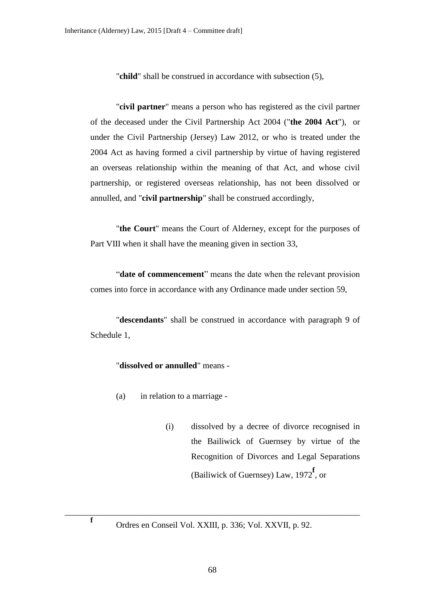"**child**" shall be construed in accordance with subsection (5),

"**civil partner**" means a person who has registered as the civil partner of the deceased under the Civil Partnership Act 2004 ("**the 2004 Act**"), or under the Civil Partnership (Jersey) Law 2012, or who is treated under the 2004 Act as having formed a civil partnership by virtue of having registered an overseas relationship within the meaning of that Act, and whose civil partnership, or registered overseas relationship, has not been dissolved or annulled, and "**civil partnership**" shall be construed accordingly,

"**the Court**" means the Court of Alderney, except for the purposes of Part VIII when it shall have the meaning given in section 33,

"**date of commencement**" means the date when the relevant provision comes into force in accordance with any Ordinance made under section 59,

"**descendants**" shall be construed in accordance with paragraph 9 of Schedule 1,

# "**dissolved or annulled**" means -

- (a) in relation to a marriage
	- (i) dissolved by a decree of divorce recognised in the Bailiwick of Guernsey by virtue of the Recognition of Divorces and Legal Separations (Bailiwick of Guernsey) Law, 1972**<sup>f</sup>** , or

**f**

\_\_\_\_\_\_\_\_\_\_\_\_\_\_\_\_\_\_\_\_\_\_\_\_\_\_\_\_\_\_\_\_\_\_\_\_\_\_\_\_\_\_\_\_\_\_\_\_\_\_\_\_\_\_\_\_\_\_\_\_\_\_\_\_\_\_\_\_\_

Ordres en Conseil Vol. XXIII, p. 336; Vol. XXVII, p. 92.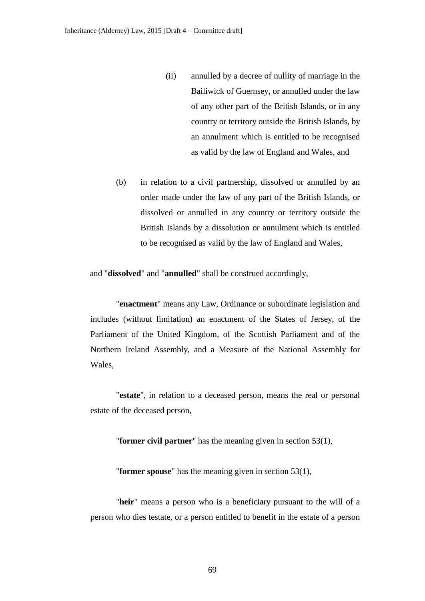- (ii) annulled by a decree of nullity of marriage in the Bailiwick of Guernsey, or annulled under the law of any other part of the British Islands, or in any country or territory outside the British Islands, by an annulment which is entitled to be recognised as valid by the law of England and Wales, and
- (b) in relation to a civil partnership, dissolved or annulled by an order made under the law of any part of the British Islands, or dissolved or annulled in any country or territory outside the British Islands by a dissolution or annulment which is entitled to be recognised as valid by the law of England and Wales,

and "**dissolved**" and "**annulled**" shall be construed accordingly,

"**enactment**" means any Law, Ordinance or subordinate legislation and includes (without limitation) an enactment of the States of Jersey, of the Parliament of the United Kingdom, of the Scottish Parliament and of the Northern Ireland Assembly, and a Measure of the National Assembly for Wales,

"**estate**", in relation to a deceased person, means the real or personal estate of the deceased person,

"**former civil partner**" has the meaning given in section 53(1),

"**former spouse**" has the meaning given in section 53(1),

"**heir**" means a person who is a beneficiary pursuant to the will of a person who dies testate, or a person entitled to benefit in the estate of a person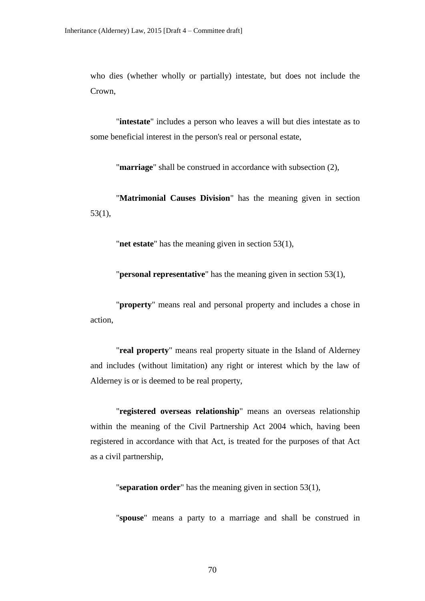who dies (whether wholly or partially) intestate, but does not include the Crown,

"**intestate**" includes a person who leaves a will but dies intestate as to some beneficial interest in the person's real or personal estate,

"**marriage**" shall be construed in accordance with subsection (2),

"**Matrimonial Causes Division**" has the meaning given in section 53(1),

"**net estate**" has the meaning given in section 53(1),

"**personal representative**" has the meaning given in section 53(1),

"**property**" means real and personal property and includes a chose in action,

"**real property**" means real property situate in the Island of Alderney and includes (without limitation) any right or interest which by the law of Alderney is or is deemed to be real property,

"**registered overseas relationship**" means an overseas relationship within the meaning of the Civil Partnership Act 2004 which, having been registered in accordance with that Act, is treated for the purposes of that Act as a civil partnership,

"**separation order**" has the meaning given in section 53(1),

"**spouse**" means a party to a marriage and shall be construed in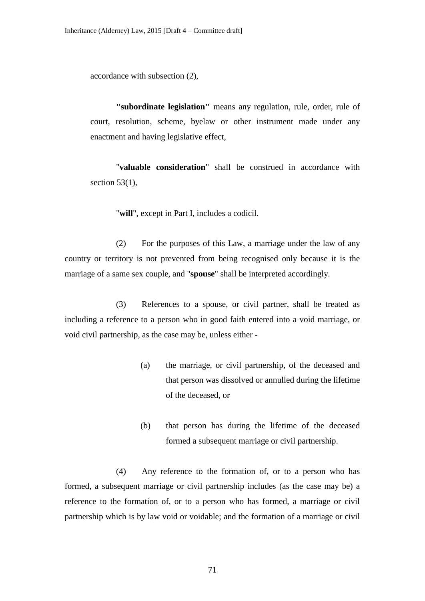accordance with subsection (2),

**"subordinate legislation"** means any regulation, rule, order, rule of court, resolution, scheme, byelaw or other instrument made under any enactment and having legislative effect,

"**valuable consideration**" shall be construed in accordance with section  $53(1)$ ,

"**will**", except in Part I, includes a codicil.

(2) For the purposes of this Law, a marriage under the law of any country or territory is not prevented from being recognised only because it is the marriage of a same sex couple, and "**spouse**" shall be interpreted accordingly.

(3) References to a spouse, or civil partner, shall be treated as including a reference to a person who in good faith entered into a void marriage, or void civil partnership, as the case may be, unless either -

- (a) the marriage, or civil partnership, of the deceased and that person was dissolved or annulled during the lifetime of the deceased, or
- (b) that person has during the lifetime of the deceased formed a subsequent marriage or civil partnership.

(4) Any reference to the formation of, or to a person who has formed, a subsequent marriage or civil partnership includes (as the case may be) a reference to the formation of, or to a person who has formed, a marriage or civil partnership which is by law void or voidable; and the formation of a marriage or civil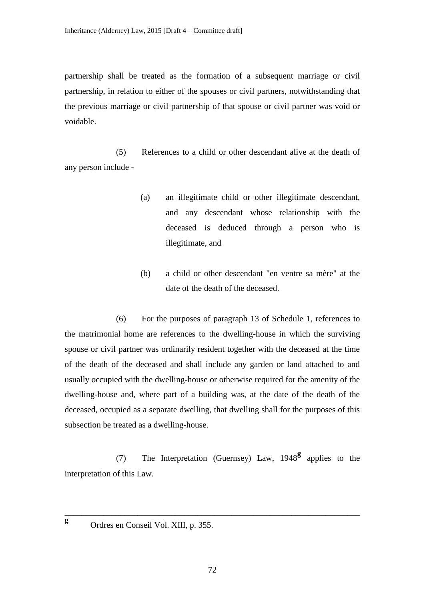partnership shall be treated as the formation of a subsequent marriage or civil partnership, in relation to either of the spouses or civil partners, notwithstanding that the previous marriage or civil partnership of that spouse or civil partner was void or voidable.

(5) References to a child or other descendant alive at the death of any person include -

- (a) an illegitimate child or other illegitimate descendant, and any descendant whose relationship with the deceased is deduced through a person who is illegitimate, and
- (b) a child or other descendant "en ventre sa mère" at the date of the death of the deceased.

(6) For the purposes of paragraph 13 of Schedule 1, references to the matrimonial home are references to the dwelling-house in which the surviving spouse or civil partner was ordinarily resident together with the deceased at the time of the death of the deceased and shall include any garden or land attached to and usually occupied with the dwelling-house or otherwise required for the amenity of the dwelling-house and, where part of a building was, at the date of the death of the deceased, occupied as a separate dwelling, that dwelling shall for the purposes of this subsection be treated as a dwelling-house.

(7) The Interpretation (Guernsey) Law, 1948**<sup>g</sup>** applies to the interpretation of this Law.

\_\_\_\_\_\_\_\_\_\_\_\_\_\_\_\_\_\_\_\_\_\_\_\_\_\_\_\_\_\_\_\_\_\_\_\_\_\_\_\_\_\_\_\_\_\_\_\_\_\_\_\_\_\_\_\_\_\_\_\_\_\_\_\_\_\_\_\_\_

**g**

Ordres en Conseil Vol. XIII, p. 355.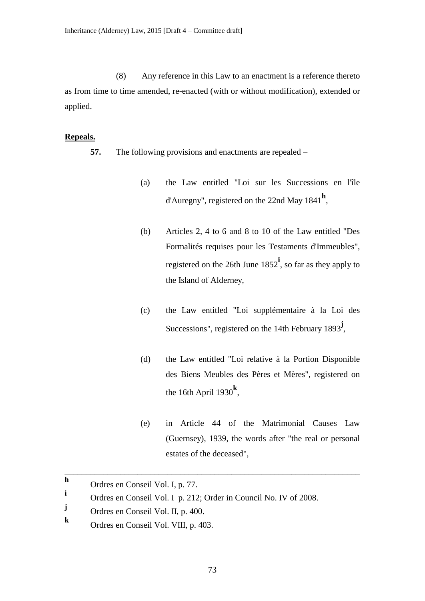(8) Any reference in this Law to an enactment is a reference thereto as from time to time amended, re-enacted (with or without modification), extended or applied.

## **Repeals.**

- **57.** The following provisions and enactments are repealed
	- (a) the Law entitled "Loi sur les Successions en l'île d'Auregny", registered on the 22nd May 1841**<sup>h</sup>** ,
	- (b) Articles 2, 4 to 6 and 8 to 10 of the Law entitled "Des Formalités requises pour les Testaments d'Immeubles", registered on the 26th June 1852**<sup>i</sup>** , so far as they apply to the Island of Alderney,
	- (c) the Law entitled "Loi supplémentaire à la Loi des Successions", registered on the 14th February 1893**<sup>j</sup>** ,
	- (d) the Law entitled "Loi relative à la Portion Disponible des Biens Meubles des Pères et Mères", registered on the 16th April 1930 $\text{h}$ ,
	- (e) in Article 44 of the Matrimonial Causes Law (Guernsey), 1939, the words after "the real or personal estates of the deceased",

\_\_\_\_\_\_\_\_\_\_\_\_\_\_\_\_\_\_\_\_\_\_\_\_\_\_\_\_\_\_\_\_\_\_\_\_\_\_\_\_\_\_\_\_\_\_\_\_\_\_\_\_\_\_\_\_\_\_\_\_\_\_\_\_\_\_\_\_\_

**h** Ordres en Conseil Vol. I, p. 77.

**i** Ordres en Conseil Vol. I p. 212; Order in Council No. IV of 2008.

**j** Ordres en Conseil Vol. II, p. 400.

**k** Ordres en Conseil Vol. VIII, p. 403.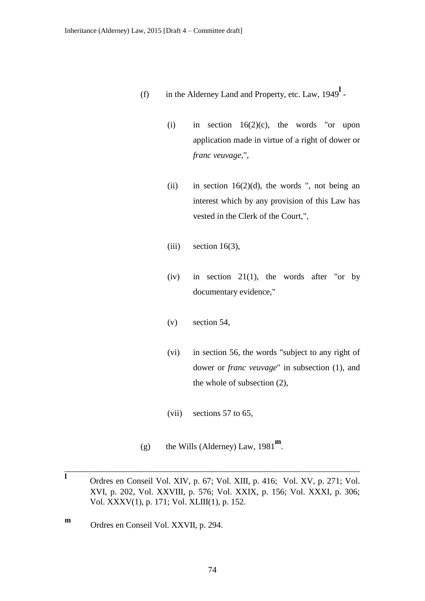- (f) in the Alderney Land and Property, etc. Law, 1949**<sup>l</sup>**
	- (i) in section  $16(2)(c)$ , the words "or upon application made in virtue of a right of dower or *franc veuvage*,",
	- (ii) in section  $16(2)(d)$ , the words ", not being an interest which by any provision of this Law has vested in the Clerk of the Court,",
	- $(iii)$  section 16(3),
	- $(iv)$  in section 21(1), the words after "or by documentary evidence,"
	- (v) section 54,
	- (vi) in section 56, the words "subject to any right of dower or *franc veuvage*" in subsection (1), and the whole of subsection (2),
	- (vii) sections 57 to 65,
- (g) the Wills (Alderney) Law, 1981**<sup>m</sup>** .

\_\_\_\_\_\_\_\_\_\_\_\_\_\_\_\_\_\_\_\_\_\_\_\_\_\_\_\_\_\_\_\_\_\_\_\_\_\_\_\_\_\_\_\_\_\_\_\_\_\_\_\_\_\_\_\_\_\_\_\_\_\_\_\_\_\_\_\_\_

**m** Ordres en Conseil Vol. XXVII, p. 294.

**l** Ordres en Conseil Vol. XIV, p. 67; Vol. XIII, p. 416; Vol. XV, p. 271; Vol. XVI, p. 202, Vol. XXVIII, p. 576; Vol. XXIX, p. 156; Vol. XXXI, p. 306; Vol. XXXV(1), p. 171; Vol. XLIII(1), p. 152.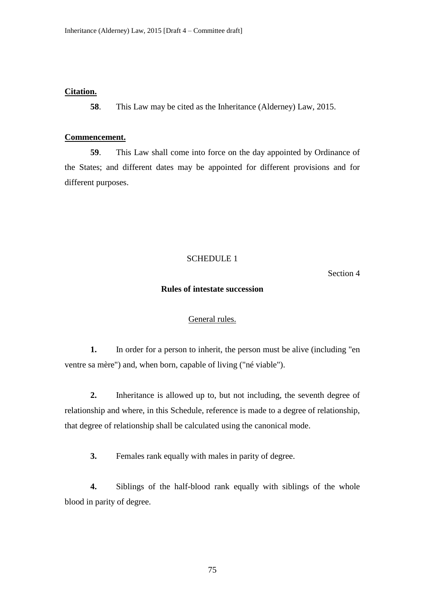#### **Citation.**

**58**. This Law may be cited as the Inheritance (Alderney) Law, 2015.

## **Commencement.**

**59**. This Law shall come into force on the day appointed by Ordinance of the States; and different dates may be appointed for different provisions and for different purposes.

#### SCHEDULE 1

Section 4

### **Rules of intestate succession**

## General rules.

**1.** In order for a person to inherit, the person must be alive (including "en ventre sa mère") and, when born, capable of living ("né viable").

**2.** Inheritance is allowed up to, but not including, the seventh degree of relationship and where, in this Schedule, reference is made to a degree of relationship, that degree of relationship shall be calculated using the canonical mode.

**3.** Females rank equally with males in parity of degree.

**4.** Siblings of the half-blood rank equally with siblings of the whole blood in parity of degree.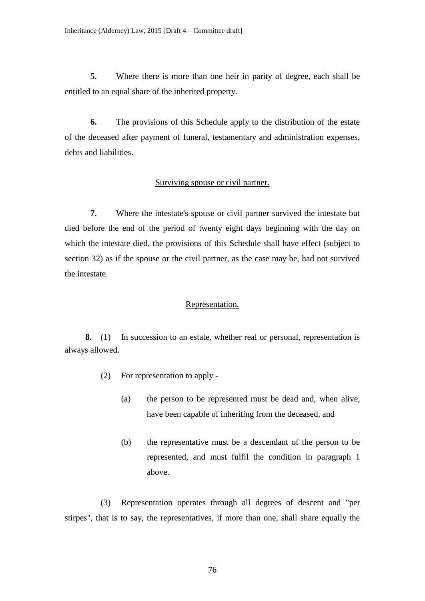**5.** Where there is more than one heir in parity of degree, each shall be entitled to an equal share of the inherited property.

**6.** The provisions of this Schedule apply to the distribution of the estate of the deceased after payment of funeral, testamentary and administration expenses, debts and liabilities.

## Surviving spouse or civil partner.

**7.** Where the intestate's spouse or civil partner survived the intestate but died before the end of the period of twenty eight days beginning with the day on which the intestate died, the provisions of this Schedule shall have effect (subject to section 32) as if the spouse or the civil partner, as the case may be, had not survived the intestate.

#### Representation.

**8.** (1) In succession to an estate, whether real or personal, representation is always allowed.

- (2) For representation to apply
	- (a) the person to be represented must be dead and, when alive, have been capable of inheriting from the deceased, and
	- (b) the representative must be a descendant of the person to be represented, and must fulfil the condition in paragraph 1 above.

(3) Representation operates through all degrees of descent and "per stirpes", that is to say, the representatives, if more than one, shall share equally the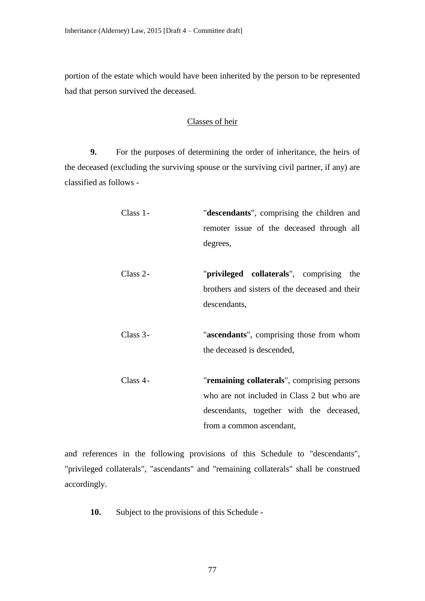portion of the estate which would have been inherited by the person to be represented had that person survived the deceased.

# Classes of heir

**9.** For the purposes of determining the order of inheritance, the heirs of the deceased (excluding the surviving spouse or the surviving civil partner, if any) are classified as follows -

| Class 1-   | "descendants", comprising the children and     |
|------------|------------------------------------------------|
|            | remoter issue of the deceased through all      |
|            | degrees,                                       |
|            |                                                |
| $Class 2-$ | "privileged collaterals", comprising<br>the    |
|            | brothers and sisters of the deceased and their |
|            | descendants,                                   |
|            |                                                |
| Class $3-$ | "ascendants", comprising those from whom       |
|            | the deceased is descended,                     |
|            |                                                |
| Class 4-   | "remaining collaterals", comprising persons    |
|            | who are not included in Class 2 but who are    |
|            | descendants, together with the deceased,       |
|            | from a common ascendant,                       |

and references in the following provisions of this Schedule to "descendants", "privileged collaterals", "ascendants" and "remaining collaterals" shall be construed accordingly.

**10.** Subject to the provisions of this Schedule -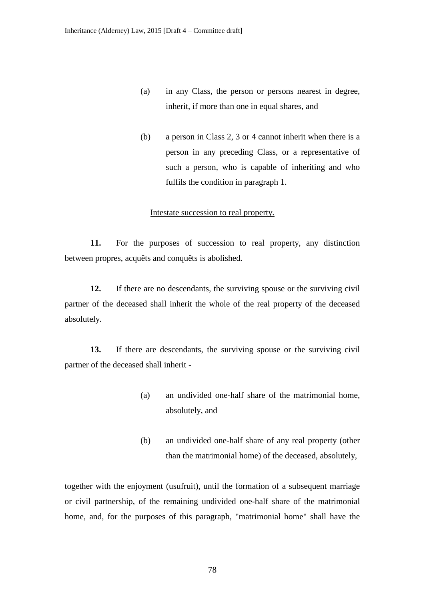- (a) in any Class, the person or persons nearest in degree, inherit, if more than one in equal shares, and
- (b) a person in Class 2, 3 or 4 cannot inherit when there is a person in any preceding Class, or a representative of such a person, who is capable of inheriting and who fulfils the condition in paragraph 1.

#### Intestate succession to real property.

**11.** For the purposes of succession to real property, any distinction between propres, acquêts and conquêts is abolished.

**12.** If there are no descendants, the surviving spouse or the surviving civil partner of the deceased shall inherit the whole of the real property of the deceased absolutely.

**13.** If there are descendants, the surviving spouse or the surviving civil partner of the deceased shall inherit -

- (a) an undivided one-half share of the matrimonial home, absolutely, and
- (b) an undivided one-half share of any real property (other than the matrimonial home) of the deceased, absolutely,

together with the enjoyment (usufruit), until the formation of a subsequent marriage or civil partnership, of the remaining undivided one-half share of the matrimonial home, and, for the purposes of this paragraph, "matrimonial home" shall have the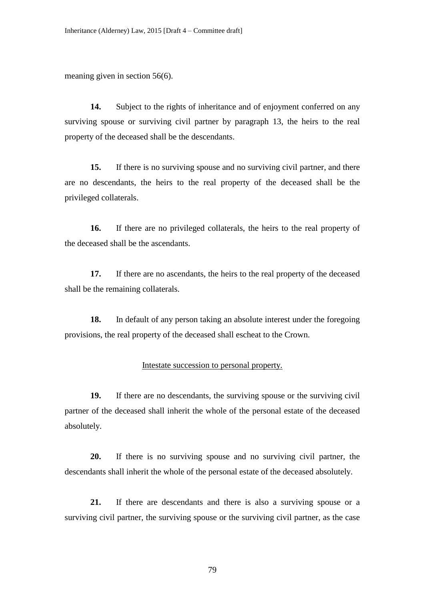meaning given in section 56(6).

**14.** Subject to the rights of inheritance and of enjoyment conferred on any surviving spouse or surviving civil partner by paragraph 13, the heirs to the real property of the deceased shall be the descendants.

**15.** If there is no surviving spouse and no surviving civil partner, and there are no descendants, the heirs to the real property of the deceased shall be the privileged collaterals.

**16.** If there are no privileged collaterals, the heirs to the real property of the deceased shall be the ascendants.

**17.** If there are no ascendants, the heirs to the real property of the deceased shall be the remaining collaterals.

**18.** In default of any person taking an absolute interest under the foregoing provisions, the real property of the deceased shall escheat to the Crown.

## Intestate succession to personal property.

**19.** If there are no descendants, the surviving spouse or the surviving civil partner of the deceased shall inherit the whole of the personal estate of the deceased absolutely.

**20.** If there is no surviving spouse and no surviving civil partner, the descendants shall inherit the whole of the personal estate of the deceased absolutely.

**21.** If there are descendants and there is also a surviving spouse or a surviving civil partner, the surviving spouse or the surviving civil partner, as the case

79